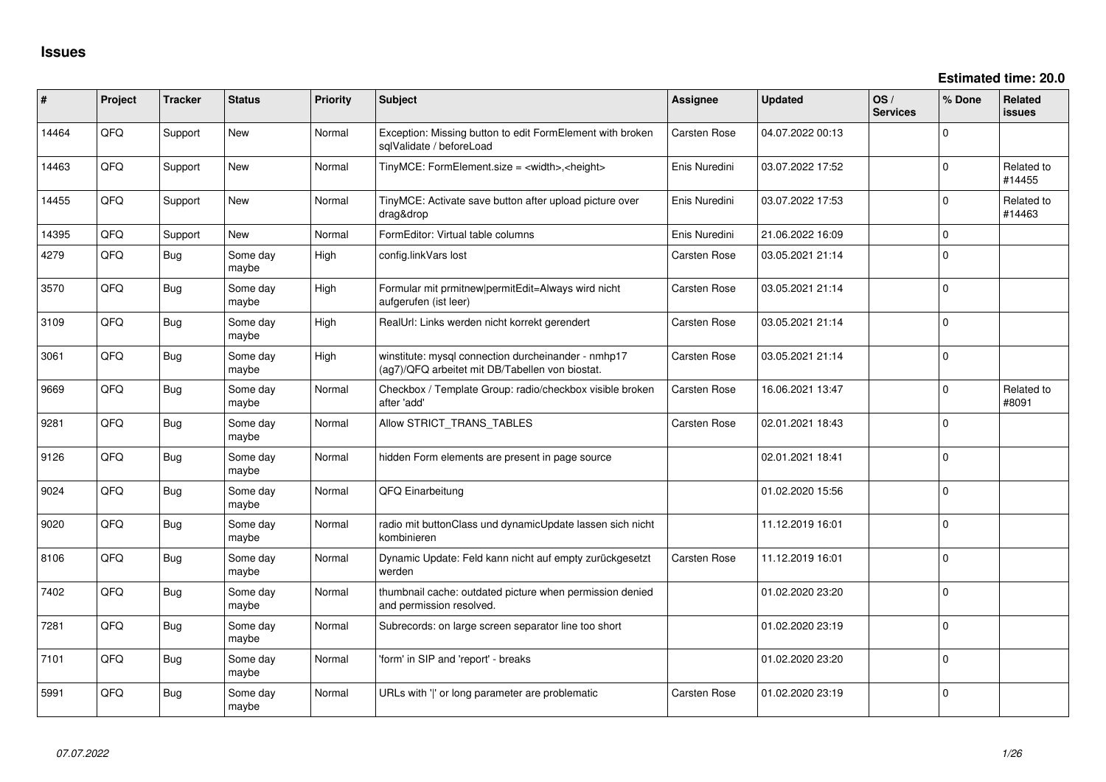| #     | Project | <b>Tracker</b> | <b>Status</b>     | <b>Priority</b> | Subject                                                                                                | <b>Assignee</b> | <b>Updated</b>   | OS/<br><b>Services</b> | % Done         | Related<br><b>issues</b> |
|-------|---------|----------------|-------------------|-----------------|--------------------------------------------------------------------------------------------------------|-----------------|------------------|------------------------|----------------|--------------------------|
| 14464 | QFQ     | Support        | New               | Normal          | Exception: Missing button to edit FormElement with broken<br>sqlValidate / beforeLoad                  | Carsten Rose    | 04.07.2022 00:13 |                        | 0              |                          |
| 14463 | QFQ     | Support        | New               | Normal          | TinyMCE: FormElement.size = <width>,<height></height></width>                                          | Enis Nuredini   | 03.07.2022 17:52 |                        | $\mathbf 0$    | Related to<br>#14455     |
| 14455 | QFQ     | Support        | New               | Normal          | TinyMCE: Activate save button after upload picture over<br>drag&drop                                   | Enis Nuredini   | 03.07.2022 17:53 |                        | 0              | Related to<br>#14463     |
| 14395 | QFQ     | Support        | <b>New</b>        | Normal          | FormEditor: Virtual table columns                                                                      | Enis Nuredini   | 21.06.2022 16:09 |                        | $\overline{0}$ |                          |
| 4279  | QFQ     | Bug            | Some day<br>maybe | High            | config.linkVars lost                                                                                   | Carsten Rose    | 03.05.2021 21:14 |                        | $\mathbf 0$    |                          |
| 3570  | QFQ     | Bug            | Some day<br>maybe | High            | Formular mit prmitnew permitEdit=Always wird nicht<br>aufgerufen (ist leer)                            | Carsten Rose    | 03.05.2021 21:14 |                        | $\mathbf 0$    |                          |
| 3109  | QFQ     | Bug            | Some day<br>maybe | High            | RealUrl: Links werden nicht korrekt gerendert                                                          | Carsten Rose    | 03.05.2021 21:14 |                        | $\mathbf 0$    |                          |
| 3061  | QFQ     | Bug            | Some day<br>maybe | High            | winstitute: mysql connection durcheinander - nmhp17<br>(ag7)/QFQ arbeitet mit DB/Tabellen von biostat. | Carsten Rose    | 03.05.2021 21:14 |                        | $\mathbf 0$    |                          |
| 9669  | QFQ     | <b>Bug</b>     | Some day<br>maybe | Normal          | Checkbox / Template Group: radio/checkbox visible broken<br>after 'add'                                | Carsten Rose    | 16.06.2021 13:47 |                        | $\Omega$       | Related to<br>#8091      |
| 9281  | QFQ     | <b>Bug</b>     | Some day<br>maybe | Normal          | Allow STRICT_TRANS_TABLES                                                                              | Carsten Rose    | 02.01.2021 18:43 |                        | 0              |                          |
| 9126  | QFQ     | Bug            | Some day<br>maybe | Normal          | hidden Form elements are present in page source                                                        |                 | 02.01.2021 18:41 |                        | $\mathbf 0$    |                          |
| 9024  | QFQ     | Bug            | Some day<br>maybe | Normal          | QFQ Einarbeitung                                                                                       |                 | 01.02.2020 15:56 |                        | $\mathbf 0$    |                          |
| 9020  | QFQ     | Bug            | Some day<br>maybe | Normal          | radio mit buttonClass und dynamicUpdate lassen sich nicht<br>kombinieren                               |                 | 11.12.2019 16:01 |                        | $\mathbf 0$    |                          |
| 8106  | QFQ     | Bug            | Some day<br>maybe | Normal          | Dynamic Update: Feld kann nicht auf empty zurückgesetzt<br>werden                                      | Carsten Rose    | 11.12.2019 16:01 |                        | 0              |                          |
| 7402  | QFQ     | <b>Bug</b>     | Some day<br>maybe | Normal          | thumbnail cache: outdated picture when permission denied<br>and permission resolved.                   |                 | 01.02.2020 23:20 |                        | 0              |                          |
| 7281  | QFQ     | Bug            | Some day<br>maybe | Normal          | Subrecords: on large screen separator line too short                                                   |                 | 01.02.2020 23:19 |                        | 0              |                          |
| 7101  | QFQ     | Bug            | Some day<br>maybe | Normal          | 'form' in SIP and 'report' - breaks                                                                    |                 | 01.02.2020 23:20 |                        | 0              |                          |
| 5991  | QFQ     | Bug            | Some day<br>maybe | Normal          | URLs with 'I' or long parameter are problematic                                                        | Carsten Rose    | 01.02.2020 23:19 |                        | 0              |                          |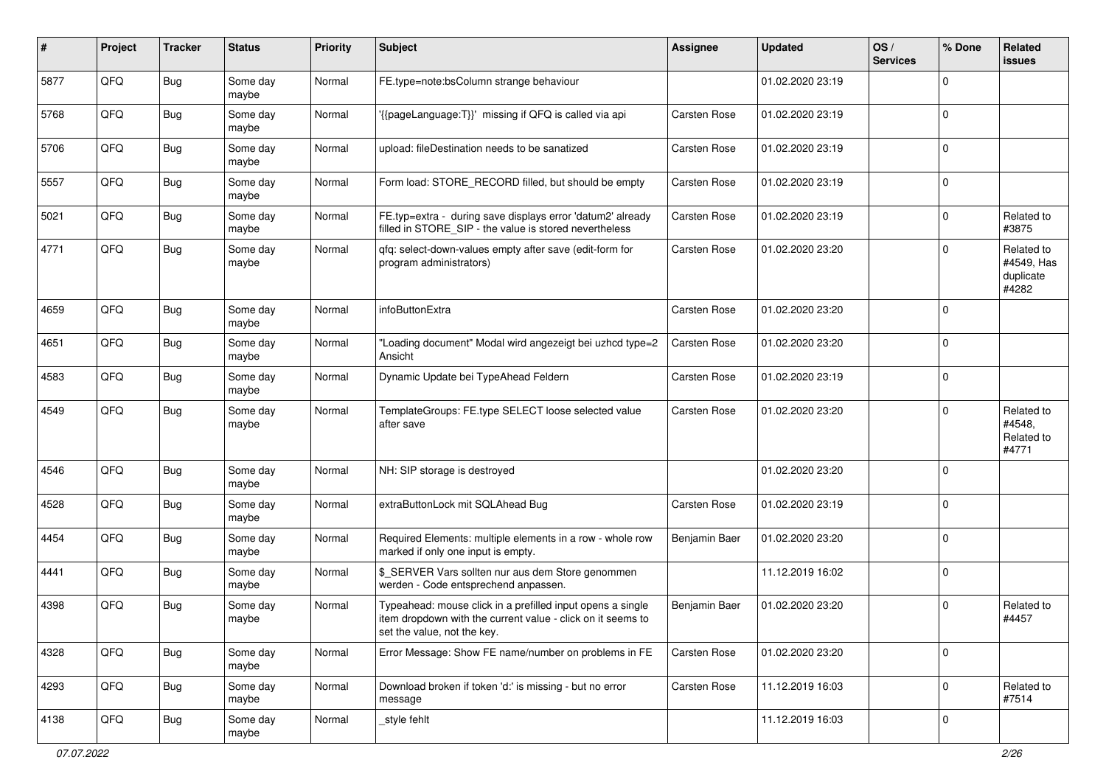| #    | Project | <b>Tracker</b> | <b>Status</b>     | <b>Priority</b> | <b>Subject</b>                                                                                                                                           | <b>Assignee</b>     | <b>Updated</b>   | OS/<br><b>Services</b> | % Done         | Related<br>issues                              |
|------|---------|----------------|-------------------|-----------------|----------------------------------------------------------------------------------------------------------------------------------------------------------|---------------------|------------------|------------------------|----------------|------------------------------------------------|
| 5877 | QFQ     | <b>Bug</b>     | Some day<br>maybe | Normal          | FE.type=note:bsColumn strange behaviour                                                                                                                  |                     | 01.02.2020 23:19 |                        | $\Omega$       |                                                |
| 5768 | QFQ     | Bug            | Some day<br>maybe | Normal          | '{{pageLanguage:T}}' missing if QFQ is called via api                                                                                                    | <b>Carsten Rose</b> | 01.02.2020 23:19 |                        | 0              |                                                |
| 5706 | QFQ     | <b>Bug</b>     | Some day<br>maybe | Normal          | upload: fileDestination needs to be sanatized                                                                                                            | <b>Carsten Rose</b> | 01.02.2020 23:19 |                        | $\Omega$       |                                                |
| 5557 | QFQ     | <b>Bug</b>     | Some day<br>maybe | Normal          | Form load: STORE_RECORD filled, but should be empty                                                                                                      | Carsten Rose        | 01.02.2020 23:19 |                        | $\mathbf 0$    |                                                |
| 5021 | QFQ     | <b>Bug</b>     | Some day<br>maybe | Normal          | FE.typ=extra - during save displays error 'datum2' already<br>filled in STORE_SIP - the value is stored nevertheless                                     | <b>Carsten Rose</b> | 01.02.2020 23:19 |                        | $\mathbf 0$    | Related to<br>#3875                            |
| 4771 | QFQ     | <b>Bug</b>     | Some day<br>maybe | Normal          | qfq: select-down-values empty after save (edit-form for<br>program administrators)                                                                       | <b>Carsten Rose</b> | 01.02.2020 23:20 |                        | $\Omega$       | Related to<br>#4549, Has<br>duplicate<br>#4282 |
| 4659 | QFQ     | Bug            | Some day<br>maybe | Normal          | infoButtonExtra                                                                                                                                          | Carsten Rose        | 01.02.2020 23:20 |                        | $\Omega$       |                                                |
| 4651 | QFQ     | <b>Bug</b>     | Some day<br>maybe | Normal          | "Loading document" Modal wird angezeigt bei uzhcd type=2<br>Ansicht                                                                                      | <b>Carsten Rose</b> | 01.02.2020 23:20 |                        | $\overline{0}$ |                                                |
| 4583 | QFQ     | <b>Bug</b>     | Some day<br>maybe | Normal          | Dynamic Update bei TypeAhead Feldern                                                                                                                     | Carsten Rose        | 01.02.2020 23:19 |                        | 0              |                                                |
| 4549 | QFQ     | <b>Bug</b>     | Some day<br>maybe | Normal          | TemplateGroups: FE.type SELECT loose selected value<br>after save                                                                                        | Carsten Rose        | 01.02.2020 23:20 |                        | $\Omega$       | Related to<br>#4548,<br>Related to<br>#4771    |
| 4546 | QFQ     | <b>Bug</b>     | Some day<br>maybe | Normal          | NH: SIP storage is destroyed                                                                                                                             |                     | 01.02.2020 23:20 |                        | $\Omega$       |                                                |
| 4528 | QFQ     | <b>Bug</b>     | Some day<br>maybe | Normal          | extraButtonLock mit SQLAhead Bug                                                                                                                         | Carsten Rose        | 01.02.2020 23:19 |                        | 0              |                                                |
| 4454 | QFQ     | <b>Bug</b>     | Some day<br>maybe | Normal          | Required Elements: multiple elements in a row - whole row<br>marked if only one input is empty.                                                          | Benjamin Baer       | 01.02.2020 23:20 |                        | 0              |                                                |
| 4441 | QFQ     | <b>Bug</b>     | Some day<br>maybe | Normal          | \$ SERVER Vars sollten nur aus dem Store genommen<br>werden - Code entsprechend anpassen.                                                                |                     | 11.12.2019 16:02 |                        | 0              |                                                |
| 4398 | QFQ     | <b>Bug</b>     | Some day<br>maybe | Normal          | Typeahead: mouse click in a prefilled input opens a single<br>item dropdown with the current value - click on it seems to<br>set the value, not the key. | Benjamin Baer       | 01.02.2020 23:20 |                        | $\Omega$       | Related to<br>#4457                            |
| 4328 | QFQ     | <b>Bug</b>     | Some day<br>maybe | Normal          | Error Message: Show FE name/number on problems in FE                                                                                                     | Carsten Rose        | 01.02.2020 23:20 |                        | $\mathbf 0$    |                                                |
| 4293 | QFG     | <b>Bug</b>     | Some day<br>maybe | Normal          | Download broken if token 'd:' is missing - but no error<br>message                                                                                       | Carsten Rose        | 11.12.2019 16:03 |                        | 0              | Related to<br>#7514                            |
| 4138 | QFQ     | <b>Bug</b>     | Some day<br>maybe | Normal          | _style fehlt                                                                                                                                             |                     | 11.12.2019 16:03 |                        | 0              |                                                |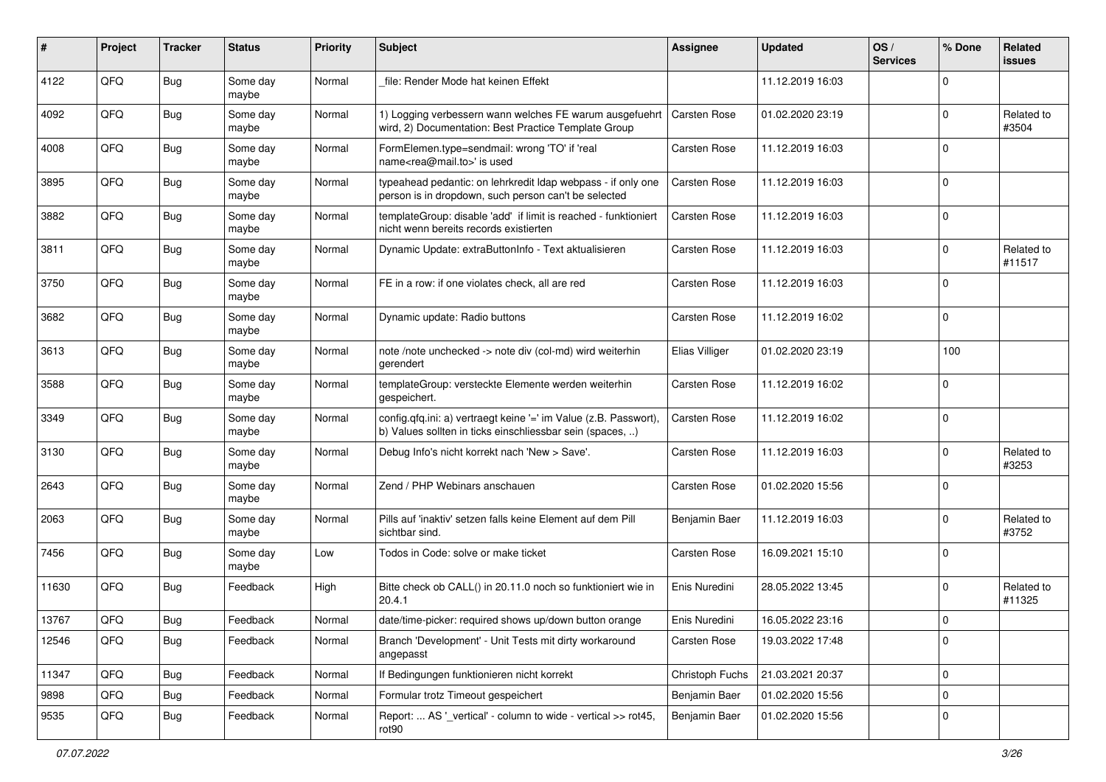| $\pmb{\#}$ | Project | <b>Tracker</b> | <b>Status</b>     | <b>Priority</b> | <b>Subject</b>                                                                                                                | <b>Assignee</b>     | <b>Updated</b>   | OS/<br><b>Services</b> | % Done      | Related<br>issues    |
|------------|---------|----------------|-------------------|-----------------|-------------------------------------------------------------------------------------------------------------------------------|---------------------|------------------|------------------------|-------------|----------------------|
| 4122       | QFQ     | <b>Bug</b>     | Some day<br>maybe | Normal          | file: Render Mode hat keinen Effekt                                                                                           |                     | 11.12.2019 16:03 |                        | $\Omega$    |                      |
| 4092       | QFQ     | <b>Bug</b>     | Some day<br>maybe | Normal          | 1) Logging verbessern wann welches FE warum ausgefuehrt<br>wird, 2) Documentation: Best Practice Template Group               | Carsten Rose        | 01.02.2020 23:19 |                        | $\Omega$    | Related to<br>#3504  |
| 4008       | QFQ     | <b>Bug</b>     | Some day<br>maybe | Normal          | FormElemen.type=sendmail: wrong 'TO' if 'real<br>name <rea@mail.to>' is used</rea@mail.to>                                    | Carsten Rose        | 11.12.2019 16:03 |                        | $\Omega$    |                      |
| 3895       | QFQ     | <b>Bug</b>     | Some day<br>maybe | Normal          | typeahead pedantic: on lehrkredit Idap webpass - if only one<br>person is in dropdown, such person can't be selected          | <b>Carsten Rose</b> | 11.12.2019 16:03 |                        | 0           |                      |
| 3882       | QFQ     | <b>Bug</b>     | Some day<br>maybe | Normal          | templateGroup: disable 'add' if limit is reached - funktioniert<br>nicht wenn bereits records existierten                     | <b>Carsten Rose</b> | 11.12.2019 16:03 |                        | $\mathbf 0$ |                      |
| 3811       | QFQ     | Bug            | Some day<br>maybe | Normal          | Dynamic Update: extraButtonInfo - Text aktualisieren                                                                          | Carsten Rose        | 11.12.2019 16:03 |                        | $\Omega$    | Related to<br>#11517 |
| 3750       | QFQ     | <b>Bug</b>     | Some day<br>maybe | Normal          | FE in a row: if one violates check, all are red                                                                               | Carsten Rose        | 11.12.2019 16:03 |                        | $\Omega$    |                      |
| 3682       | QFQ     | <b>Bug</b>     | Some day<br>maybe | Normal          | Dynamic update: Radio buttons                                                                                                 | Carsten Rose        | 11.12.2019 16:02 |                        | $\mathbf 0$ |                      |
| 3613       | QFQ     | <b>Bug</b>     | Some day<br>maybe | Normal          | note /note unchecked -> note div (col-md) wird weiterhin<br>gerendert                                                         | Elias Villiger      | 01.02.2020 23:19 |                        | 100         |                      |
| 3588       | QFQ     | Bug            | Some day<br>maybe | Normal          | templateGroup: versteckte Elemente werden weiterhin<br>gespeichert.                                                           | Carsten Rose        | 11.12.2019 16:02 |                        | $\Omega$    |                      |
| 3349       | QFQ     | Bug            | Some day<br>maybe | Normal          | config.qfq.ini: a) vertraegt keine '=' im Value (z.B. Passwort),<br>b) Values sollten in ticks einschliessbar sein (spaces, ) | <b>Carsten Rose</b> | 11.12.2019 16:02 |                        | l 0         |                      |
| 3130       | QFQ     | <b>Bug</b>     | Some day<br>maybe | Normal          | Debug Info's nicht korrekt nach 'New > Save'.                                                                                 | Carsten Rose        | 11.12.2019 16:03 |                        | $\Omega$    | Related to<br>#3253  |
| 2643       | QFQ     | Bug            | Some day<br>maybe | Normal          | Zend / PHP Webinars anschauen                                                                                                 | Carsten Rose        | 01.02.2020 15:56 |                        | $\Omega$    |                      |
| 2063       | QFQ     | <b>Bug</b>     | Some day<br>maybe | Normal          | Pills auf 'inaktiv' setzen falls keine Element auf dem Pill<br>sichtbar sind.                                                 | Benjamin Baer       | 11.12.2019 16:03 |                        | $\Omega$    | Related to<br>#3752  |
| 7456       | QFQ     | Bug            | Some day<br>maybe | Low             | Todos in Code: solve or make ticket                                                                                           | <b>Carsten Rose</b> | 16.09.2021 15:10 |                        | 0           |                      |
| 11630      | QFQ     | Bug            | Feedback          | High            | Bitte check ob CALL() in 20.11.0 noch so funktioniert wie in<br>20.4.1                                                        | Enis Nuredini       | 28.05.2022 13:45 |                        | $\Omega$    | Related to<br>#11325 |
| 13767      | QFQ     | <b>Bug</b>     | Feedback          | Normal          | date/time-picker: required shows up/down button orange                                                                        | Enis Nuredini       | 16.05.2022 23:16 |                        | l 0         |                      |
| 12546      | QFQ     | Bug            | Feedback          | Normal          | Branch 'Development' - Unit Tests mit dirty workaround<br>angepasst                                                           | Carsten Rose        | 19.03.2022 17:48 |                        | 0           |                      |
| 11347      | QFQ     | <b>Bug</b>     | Feedback          | Normal          | If Bedingungen funktionieren nicht korrekt                                                                                    | Christoph Fuchs     | 21.03.2021 20:37 |                        | 0           |                      |
| 9898       | QFQ     | Bug            | Feedback          | Normal          | Formular trotz Timeout gespeichert                                                                                            | Benjamin Baer       | 01.02.2020 15:56 |                        | 0           |                      |
| 9535       | QFQ     | <b>Bug</b>     | Feedback          | Normal          | Report:  AS '_vertical' - column to wide - vertical >> rot45,<br>rot90                                                        | Benjamin Baer       | 01.02.2020 15:56 |                        | 0           |                      |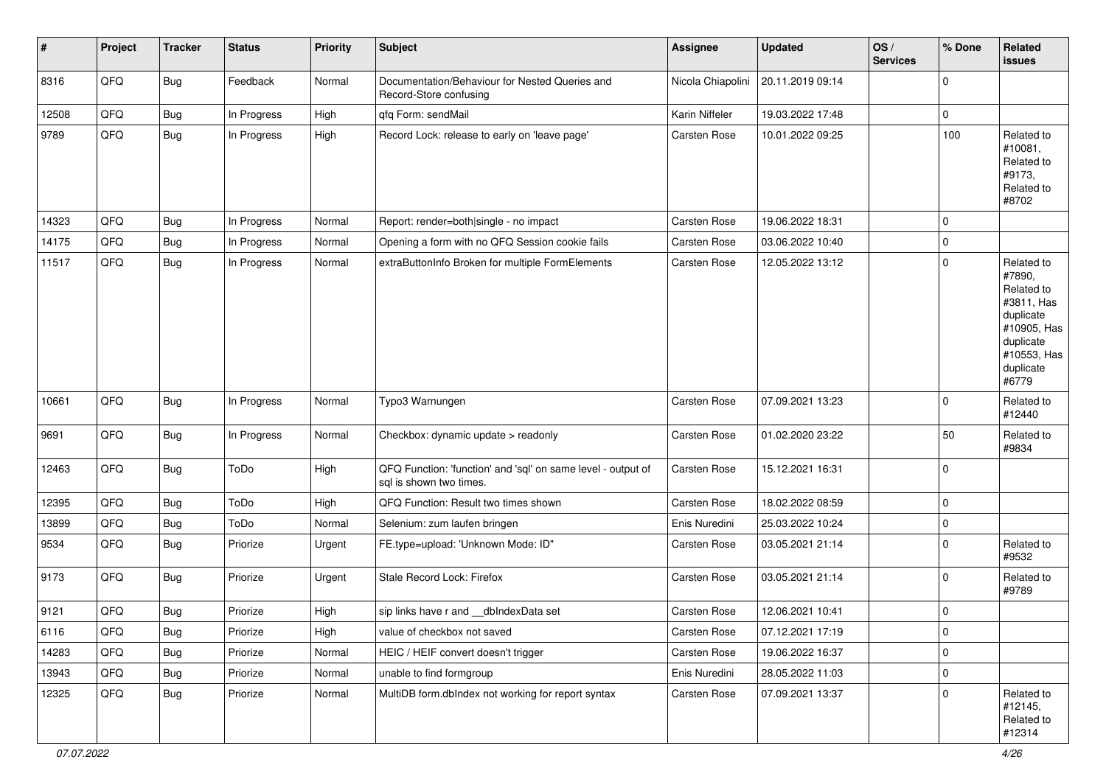| #     | Project | <b>Tracker</b> | <b>Status</b> | <b>Priority</b> | <b>Subject</b>                                                                          | <b>Assignee</b>     | <b>Updated</b>   | OS/<br><b>Services</b> | % Done         | Related<br><b>issues</b>                                                                                                       |
|-------|---------|----------------|---------------|-----------------|-----------------------------------------------------------------------------------------|---------------------|------------------|------------------------|----------------|--------------------------------------------------------------------------------------------------------------------------------|
| 8316  | QFQ     | Bug            | Feedback      | Normal          | Documentation/Behaviour for Nested Queries and<br>Record-Store confusing                | Nicola Chiapolini   | 20.11.2019 09:14 |                        | $\mathbf 0$    |                                                                                                                                |
| 12508 | QFQ     | Bug            | In Progress   | High            | qfq Form: sendMail                                                                      | Karin Niffeler      | 19.03.2022 17:48 |                        | $\pmb{0}$      |                                                                                                                                |
| 9789  | QFQ     | <b>Bug</b>     | In Progress   | High            | Record Lock: release to early on 'leave page'                                           | <b>Carsten Rose</b> | 10.01.2022 09:25 |                        | 100            | Related to<br>#10081,<br>Related to<br>#9173,<br>Related to<br>#8702                                                           |
| 14323 | QFQ     | Bug            | In Progress   | Normal          | Report: render=both single - no impact                                                  | Carsten Rose        | 19.06.2022 18:31 |                        | $\mathbf 0$    |                                                                                                                                |
| 14175 | QFQ     | <b>Bug</b>     | In Progress   | Normal          | Opening a form with no QFQ Session cookie fails                                         | <b>Carsten Rose</b> | 03.06.2022 10:40 |                        | $\mathbf 0$    |                                                                                                                                |
| 11517 | QFQ     | <b>Bug</b>     | In Progress   | Normal          | extraButtonInfo Broken for multiple FormElements                                        | Carsten Rose        | 12.05.2022 13:12 |                        | $\mathbf 0$    | Related to<br>#7890,<br>Related to<br>#3811, Has<br>duplicate<br>#10905, Has<br>duplicate<br>#10553, Has<br>duplicate<br>#6779 |
| 10661 | QFQ     | <b>Bug</b>     | In Progress   | Normal          | Typo3 Warnungen                                                                         | Carsten Rose        | 07.09.2021 13:23 |                        | $\overline{0}$ | Related to<br>#12440                                                                                                           |
| 9691  | QFQ     | Bug            | In Progress   | Normal          | Checkbox: dynamic update > readonly                                                     | <b>Carsten Rose</b> | 01.02.2020 23:22 |                        | 50             | Related to<br>#9834                                                                                                            |
| 12463 | QFQ     | <b>Bug</b>     | ToDo          | High            | QFQ Function: 'function' and 'sql' on same level - output of<br>sql is shown two times. | <b>Carsten Rose</b> | 15.12.2021 16:31 |                        | $\mathbf 0$    |                                                                                                                                |
| 12395 | QFQ     | <b>Bug</b>     | ToDo          | High            | QFQ Function: Result two times shown                                                    | Carsten Rose        | 18.02.2022 08:59 |                        | $\pmb{0}$      |                                                                                                                                |
| 13899 | QFQ     | Bug            | ToDo          | Normal          | Selenium: zum laufen bringen                                                            | Enis Nuredini       | 25.03.2022 10:24 |                        | $\mathbf 0$    |                                                                                                                                |
| 9534  | QFQ     | <b>Bug</b>     | Priorize      | Urgent          | FE.type=upload: 'Unknown Mode: ID"                                                      | <b>Carsten Rose</b> | 03.05.2021 21:14 |                        | 0              | Related to<br>#9532                                                                                                            |
| 9173  | QFQ     | <b>Bug</b>     | Priorize      | Urgent          | Stale Record Lock: Firefox                                                              | Carsten Rose        | 03.05.2021 21:14 |                        | $\mathbf 0$    | Related to<br>#9789                                                                                                            |
| 9121  | QFQ     | <b>Bug</b>     | Priorize      | High            | sip links have r and __dbIndexData set                                                  | Carsten Rose        | 12.06.2021 10:41 |                        | $\pmb{0}$      |                                                                                                                                |
| 6116  | QFQ     | <b>Bug</b>     | Priorize      | High            | value of checkbox not saved                                                             | Carsten Rose        | 07.12.2021 17:19 |                        | $\pmb{0}$      |                                                                                                                                |
| 14283 | QFQ     | <b>Bug</b>     | Priorize      | Normal          | HEIC / HEIF convert doesn't trigger                                                     | Carsten Rose        | 19.06.2022 16:37 |                        | $\pmb{0}$      |                                                                                                                                |
| 13943 | QFQ     | <b>Bug</b>     | Priorize      | Normal          | unable to find formgroup                                                                | Enis Nuredini       | 28.05.2022 11:03 |                        | $\mathbf 0$    |                                                                                                                                |
| 12325 | QFQ     | <b>Bug</b>     | Priorize      | Normal          | MultiDB form.dblndex not working for report syntax                                      | Carsten Rose        | 07.09.2021 13:37 |                        | $\mathbf 0$    | Related to<br>#12145,<br>Related to<br>#12314                                                                                  |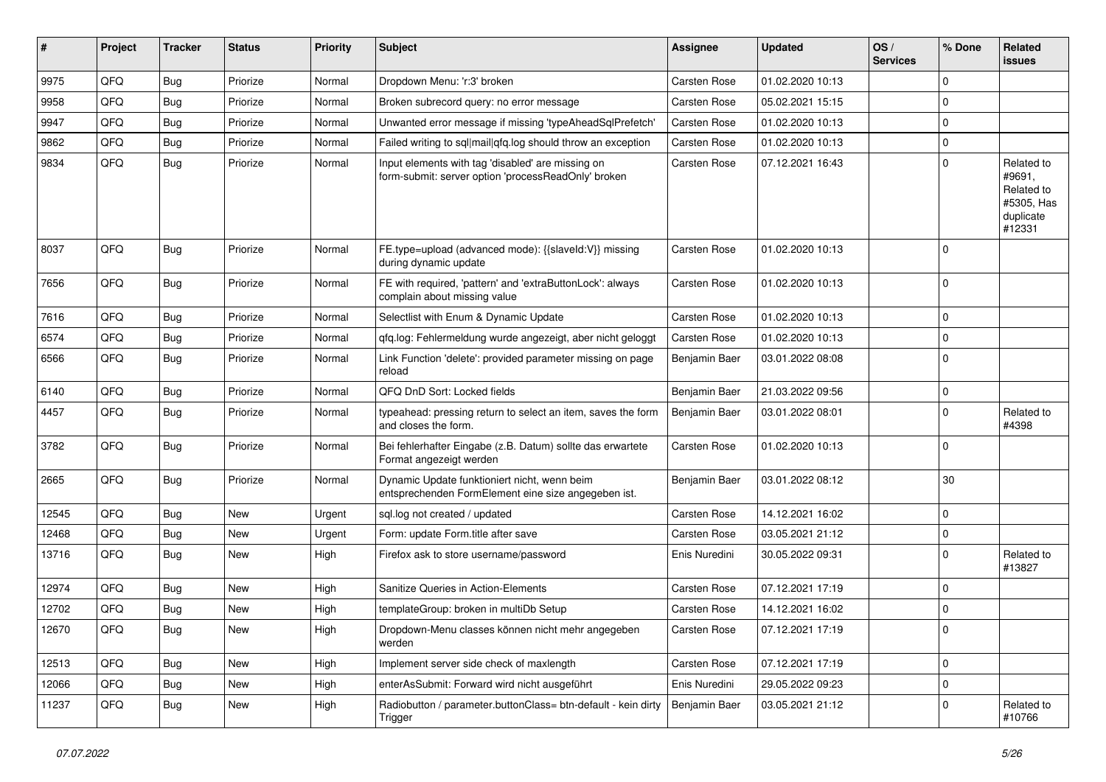| #     | Project | <b>Tracker</b> | <b>Status</b> | <b>Priority</b> | <b>Subject</b>                                                                                           | <b>Assignee</b>     | <b>Updated</b>   | OS/<br><b>Services</b> | % Done      | Related<br>issues                                                       |
|-------|---------|----------------|---------------|-----------------|----------------------------------------------------------------------------------------------------------|---------------------|------------------|------------------------|-------------|-------------------------------------------------------------------------|
| 9975  | QFQ     | Bug            | Priorize      | Normal          | Dropdown Menu: 'r:3' broken                                                                              | <b>Carsten Rose</b> | 01.02.2020 10:13 |                        | $\Omega$    |                                                                         |
| 9958  | QFQ     | Bug            | Priorize      | Normal          | Broken subrecord query: no error message                                                                 | <b>Carsten Rose</b> | 05.02.2021 15:15 |                        | $\mathbf 0$ |                                                                         |
| 9947  | QFQ     | <b>Bug</b>     | Priorize      | Normal          | Unwanted error message if missing 'typeAheadSqlPrefetch'                                                 | Carsten Rose        | 01.02.2020 10:13 |                        | $\mathbf 0$ |                                                                         |
| 9862  | QFQ     | Bug            | Priorize      | Normal          | Failed writing to sql mail qfq.log should throw an exception                                             | <b>Carsten Rose</b> | 01.02.2020 10:13 |                        | $\mathbf 0$ |                                                                         |
| 9834  | QFQ     | Bug            | Priorize      | Normal          | Input elements with tag 'disabled' are missing on<br>form-submit: server option 'processReadOnly' broken | <b>Carsten Rose</b> | 07.12.2021 16:43 |                        | $\mathbf 0$ | Related to<br>#9691,<br>Related to<br>#5305, Has<br>duplicate<br>#12331 |
| 8037  | QFQ     | Bug            | Priorize      | Normal          | FE.type=upload (advanced mode): {{slaveId:V}} missing<br>during dynamic update                           | <b>Carsten Rose</b> | 01.02.2020 10:13 |                        | $\Omega$    |                                                                         |
| 7656  | QFQ     | Bug            | Priorize      | Normal          | FE with required, 'pattern' and 'extraButtonLock': always<br>complain about missing value                | Carsten Rose        | 01.02.2020 10:13 |                        | $\mathbf 0$ |                                                                         |
| 7616  | QFQ     | Bug            | Priorize      | Normal          | Selectlist with Enum & Dynamic Update                                                                    | <b>Carsten Rose</b> | 01.02.2020 10:13 |                        | $\mathbf 0$ |                                                                         |
| 6574  | QFQ     | Bug            | Priorize      | Normal          | qfq.log: Fehlermeldung wurde angezeigt, aber nicht geloggt                                               | <b>Carsten Rose</b> | 01.02.2020 10:13 |                        | $\mathbf 0$ |                                                                         |
| 6566  | QFQ     | Bug            | Priorize      | Normal          | Link Function 'delete': provided parameter missing on page<br>reload                                     | Benjamin Baer       | 03.01.2022 08:08 |                        | $\mathbf 0$ |                                                                         |
| 6140  | QFQ     | Bug            | Priorize      | Normal          | QFQ DnD Sort: Locked fields                                                                              | Benjamin Baer       | 21.03.2022 09:56 |                        | $\mathbf 0$ |                                                                         |
| 4457  | QFQ     | Bug            | Priorize      | Normal          | typeahead: pressing return to select an item, saves the form<br>and closes the form.                     | Benjamin Baer       | 03.01.2022 08:01 |                        | $\mathbf 0$ | Related to<br>#4398                                                     |
| 3782  | QFQ     | Bug            | Priorize      | Normal          | Bei fehlerhafter Eingabe (z.B. Datum) sollte das erwartete<br>Format angezeigt werden                    | <b>Carsten Rose</b> | 01.02.2020 10:13 |                        | $\mathbf 0$ |                                                                         |
| 2665  | QFQ     | Bug            | Priorize      | Normal          | Dynamic Update funktioniert nicht, wenn beim<br>entsprechenden FormElement eine size angegeben ist.      | Benjamin Baer       | 03.01.2022 08:12 |                        | 30          |                                                                         |
| 12545 | QFQ     | Bug            | <b>New</b>    | Urgent          | sql.log not created / updated                                                                            | <b>Carsten Rose</b> | 14.12.2021 16:02 |                        | $\mathbf 0$ |                                                                         |
| 12468 | QFQ     | Bug            | New           | Urgent          | Form: update Form.title after save                                                                       | <b>Carsten Rose</b> | 03.05.2021 21:12 |                        | $\mathbf 0$ |                                                                         |
| 13716 | QFQ     | Bug            | New           | High            | Firefox ask to store username/password                                                                   | Enis Nuredini       | 30.05.2022 09:31 |                        | $\mathbf 0$ | Related to<br>#13827                                                    |
| 12974 | QFQ     | Bug            | New           | High            | Sanitize Queries in Action-Elements                                                                      | <b>Carsten Rose</b> | 07.12.2021 17:19 |                        | $\mathbf 0$ |                                                                         |
| 12702 | QFQ     | Bug            | New           | High            | templateGroup: broken in multiDb Setup                                                                   | <b>Carsten Rose</b> | 14.12.2021 16:02 |                        | $\mathbf 0$ |                                                                         |
| 12670 | QFQ     | <b>Bug</b>     | New           | High            | Dropdown-Menu classes können nicht mehr angegeben<br>werden                                              | Carsten Rose        | 07.12.2021 17:19 |                        | 0           |                                                                         |
| 12513 | QFQ     | <b>Bug</b>     | New           | High            | Implement server side check of maxlength                                                                 | Carsten Rose        | 07.12.2021 17:19 |                        | $\mathbf 0$ |                                                                         |
| 12066 | QFQ     | <b>Bug</b>     | New           | High            | enterAsSubmit: Forward wird nicht ausgeführt                                                             | Enis Nuredini       | 29.05.2022 09:23 |                        | $\mathbf 0$ |                                                                         |
| 11237 | QFQ     | <b>Bug</b>     | New           | High            | Radiobutton / parameter.buttonClass= btn-default - kein dirty<br>Trigger                                 | Benjamin Baer       | 03.05.2021 21:12 |                        | $\mathbf 0$ | Related to<br>#10766                                                    |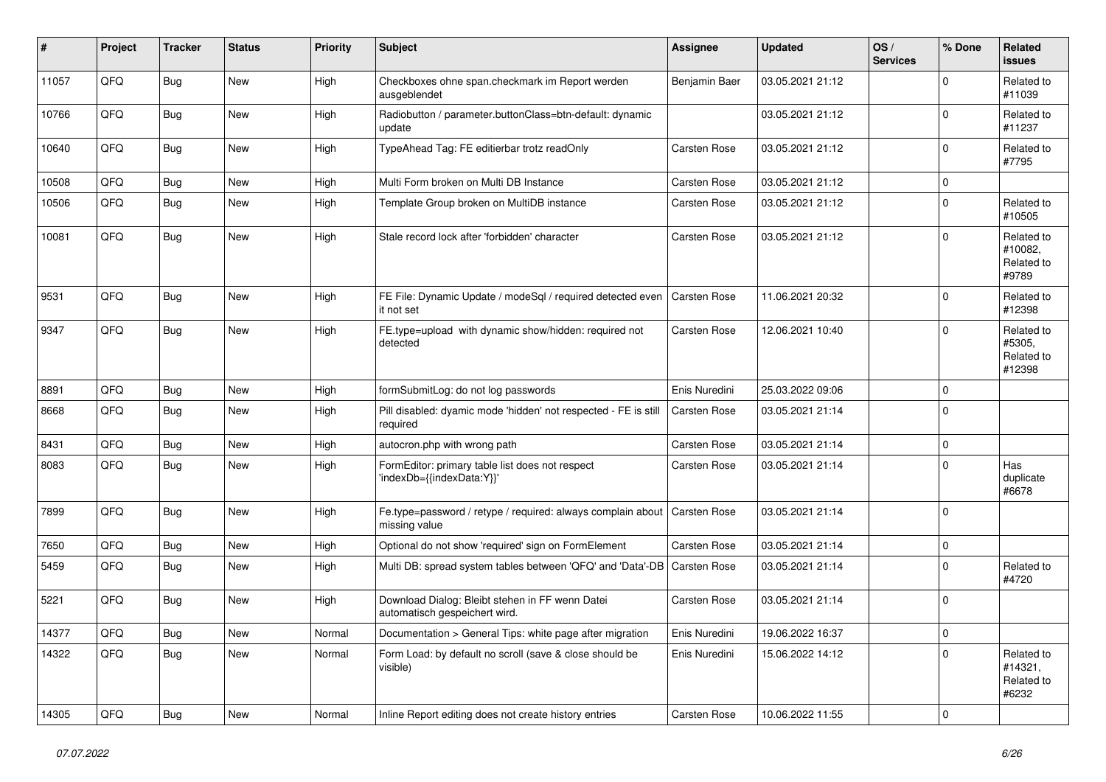| #     | Project | <b>Tracker</b> | <b>Status</b> | <b>Priority</b> | <b>Subject</b>                                                                   | <b>Assignee</b>     | <b>Updated</b>   | OS/<br><b>Services</b> | % Done         | <b>Related</b><br><b>issues</b>              |
|-------|---------|----------------|---------------|-----------------|----------------------------------------------------------------------------------|---------------------|------------------|------------------------|----------------|----------------------------------------------|
| 11057 | QFQ     | <b>Bug</b>     | New           | High            | Checkboxes ohne span.checkmark im Report werden<br>ausgeblendet                  | Benjamin Baer       | 03.05.2021 21:12 |                        | $\Omega$       | Related to<br>#11039                         |
| 10766 | QFQ     | <b>Bug</b>     | New           | High            | Radiobutton / parameter.buttonClass=btn-default: dynamic<br>update               |                     | 03.05.2021 21:12 |                        | $\mathbf 0$    | Related to<br>#11237                         |
| 10640 | QFQ     | Bug            | New           | High            | TypeAhead Tag: FE editierbar trotz readOnly                                      | <b>Carsten Rose</b> | 03.05.2021 21:12 |                        | $\Omega$       | Related to<br>#7795                          |
| 10508 | QFQ     | <b>Bug</b>     | New           | High            | Multi Form broken on Multi DB Instance                                           | <b>Carsten Rose</b> | 03.05.2021 21:12 |                        | $\pmb{0}$      |                                              |
| 10506 | QFQ     | <b>Bug</b>     | New           | High            | Template Group broken on MultiDB instance                                        | <b>Carsten Rose</b> | 03.05.2021 21:12 |                        | $\Omega$       | Related to<br>#10505                         |
| 10081 | QFQ     | Bug            | New           | High            | Stale record lock after 'forbidden' character                                    | <b>Carsten Rose</b> | 03.05.2021 21:12 |                        | $\Omega$       | Related to<br>#10082,<br>Related to<br>#9789 |
| 9531  | QFQ     | <b>Bug</b>     | <b>New</b>    | High            | FE File: Dynamic Update / modeSgl / required detected even<br>it not set         | <b>Carsten Rose</b> | 11.06.2021 20:32 |                        | $\mathbf 0$    | Related to<br>#12398                         |
| 9347  | QFQ     | Bug            | New           | High            | FE.type=upload with dynamic show/hidden: required not<br>detected                | <b>Carsten Rose</b> | 12.06.2021 10:40 |                        | $\mathbf 0$    | Related to<br>#5305,<br>Related to<br>#12398 |
| 8891  | QFQ     | Bug            | New           | High            | formSubmitLog: do not log passwords                                              | Enis Nuredini       | 25.03.2022 09:06 |                        | $\overline{0}$ |                                              |
| 8668  | QFQ     | Bug            | New           | High            | Pill disabled: dyamic mode 'hidden' not respected - FE is still<br>required      | <b>Carsten Rose</b> | 03.05.2021 21:14 |                        | $\Omega$       |                                              |
| 8431  | QFQ     | <b>Bug</b>     | New           | High            | autocron.php with wrong path                                                     | <b>Carsten Rose</b> | 03.05.2021 21:14 |                        | $\pmb{0}$      |                                              |
| 8083  | QFQ     | <b>Bug</b>     | New           | High            | FormEditor: primary table list does not respect<br>'indexDb={{indexData:Y}}'     | <b>Carsten Rose</b> | 03.05.2021 21:14 |                        | $\Omega$       | Has<br>duplicate<br>#6678                    |
| 7899  | QFQ     | Bug            | <b>New</b>    | High            | Fe.type=password / retype / required: always complain about<br>missing value     | <b>Carsten Rose</b> | 03.05.2021 21:14 |                        | $\mathbf 0$    |                                              |
| 7650  | QFQ     | Bug            | New           | High            | Optional do not show 'required' sign on FormElement                              | <b>Carsten Rose</b> | 03.05.2021 21:14 |                        | 0              |                                              |
| 5459  | QFQ     | Bug            | New           | High            | Multi DB: spread system tables between 'QFQ' and 'Data'-DB                       | <b>Carsten Rose</b> | 03.05.2021 21:14 |                        | $\mathbf 0$    | Related to<br>#4720                          |
| 5221  | QFQ     | <b>Bug</b>     | <b>New</b>    | High            | Download Dialog: Bleibt stehen in FF wenn Datei<br>automatisch gespeichert wird. | <b>Carsten Rose</b> | 03.05.2021 21:14 |                        | $\overline{0}$ |                                              |
| 14377 | QFQ     | Bug            | <b>New</b>    | Normal          | Documentation > General Tips: white page after migration                         | Enis Nuredini       | 19.06.2022 16:37 |                        | $\pmb{0}$      |                                              |
| 14322 | QFQ     | Bug            | New           | Normal          | Form Load: by default no scroll (save & close should be<br>visible)              | Enis Nuredini       | 15.06.2022 14:12 |                        | $\mathbf 0$    | Related to<br>#14321,<br>Related to<br>#6232 |
| 14305 | QFQ     | Bug            | New           | Normal          | Inline Report editing does not create history entries                            | <b>Carsten Rose</b> | 10.06.2022 11:55 |                        | $\mathbf 0$    |                                              |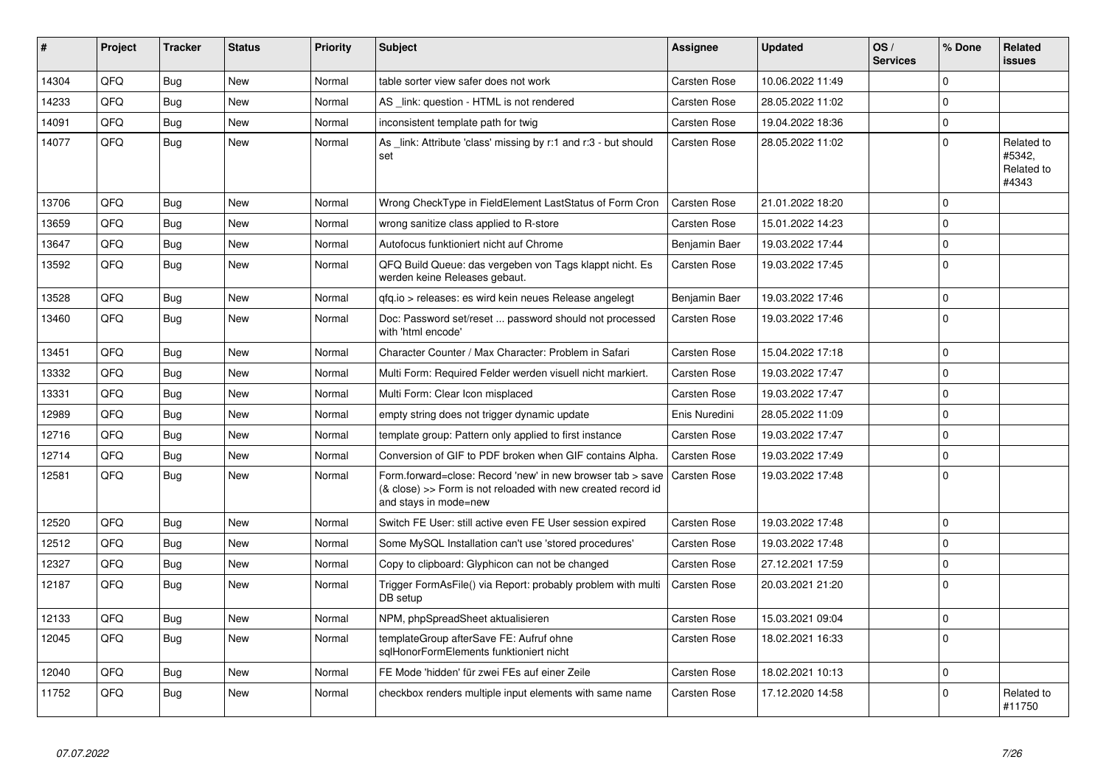| #     | Project | <b>Tracker</b> | <b>Status</b> | <b>Priority</b> | <b>Subject</b>                                                                                                                                      | Assignee             | <b>Updated</b>   | OS/<br><b>Services</b> | % Done      | Related<br>issues                           |
|-------|---------|----------------|---------------|-----------------|-----------------------------------------------------------------------------------------------------------------------------------------------------|----------------------|------------------|------------------------|-------------|---------------------------------------------|
| 14304 | QFQ     | <b>Bug</b>     | <b>New</b>    | Normal          | table sorter view safer does not work                                                                                                               | <b>Carsten Rose</b>  | 10.06.2022 11:49 |                        | $\Omega$    |                                             |
| 14233 | QFQ     | Bug            | New           | Normal          | AS link: question - HTML is not rendered                                                                                                            | Carsten Rose         | 28.05.2022 11:02 |                        | $\Omega$    |                                             |
| 14091 | QFQ     | Bug            | New           | Normal          | inconsistent template path for twig                                                                                                                 | <b>Carsten Rose</b>  | 19.04.2022 18:36 |                        | $\mathbf 0$ |                                             |
| 14077 | QFQ     | Bug            | New           | Normal          | As link: Attribute 'class' missing by r:1 and r:3 - but should<br>set                                                                               | <b>Carsten Rose</b>  | 28.05.2022 11:02 |                        | $\Omega$    | Related to<br>#5342,<br>Related to<br>#4343 |
| 13706 | QFQ     | Bug            | <b>New</b>    | Normal          | Wrong CheckType in FieldElement LastStatus of Form Cron                                                                                             | <b>Carsten Rose</b>  | 21.01.2022 18:20 |                        | l O         |                                             |
| 13659 | QFQ     | <b>Bug</b>     | New           | Normal          | wrong sanitize class applied to R-store                                                                                                             | Carsten Rose         | 15.01.2022 14:23 |                        | $\Omega$    |                                             |
| 13647 | QFQ     | <b>Bug</b>     | <b>New</b>    | Normal          | Autofocus funktioniert nicht auf Chrome                                                                                                             | <b>Benjamin Baer</b> | 19.03.2022 17:44 |                        | l O         |                                             |
| 13592 | QFQ     | Bug            | New           | Normal          | QFQ Build Queue: das vergeben von Tags klappt nicht. Es<br>werden keine Releases gebaut.                                                            | Carsten Rose         | 19.03.2022 17:45 |                        | I٥          |                                             |
| 13528 | QFQ     | Bug            | <b>New</b>    | Normal          | gfg.io > releases: es wird kein neues Release angelegt                                                                                              | Benjamin Baer        | 19.03.2022 17:46 |                        | l o         |                                             |
| 13460 | QFQ     | Bug            | New           | Normal          | Doc: Password set/reset  password should not processed<br>with 'html encode'                                                                        | Carsten Rose         | 19.03.2022 17:46 |                        | I٥          |                                             |
| 13451 | QFQ     | Bug            | New           | Normal          | Character Counter / Max Character: Problem in Safari                                                                                                | Carsten Rose         | 15.04.2022 17:18 |                        | l o         |                                             |
| 13332 | QFQ     | <b>Bug</b>     | <b>New</b>    | Normal          | Multi Form: Required Felder werden visuell nicht markiert.                                                                                          | Carsten Rose         | 19.03.2022 17:47 |                        | $\Omega$    |                                             |
| 13331 | QFQ     | Bug            | New           | Normal          | Multi Form: Clear Icon misplaced                                                                                                                    | Carsten Rose         | 19.03.2022 17:47 |                        | $\mathbf 0$ |                                             |
| 12989 | QFQ     | Bug            | <b>New</b>    | Normal          | empty string does not trigger dynamic update                                                                                                        | Enis Nuredini        | 28.05.2022 11:09 |                        | $\Omega$    |                                             |
| 12716 | QFQ     | Bug            | <b>New</b>    | Normal          | template group: Pattern only applied to first instance                                                                                              | <b>Carsten Rose</b>  | 19.03.2022 17:47 |                        | I٥          |                                             |
| 12714 | QFQ     | Bug            | New           | Normal          | Conversion of GIF to PDF broken when GIF contains Alpha.                                                                                            | <b>Carsten Rose</b>  | 19.03.2022 17:49 |                        | $\mathbf 0$ |                                             |
| 12581 | QFQ     | <b>Bug</b>     | <b>New</b>    | Normal          | Form.forward=close: Record 'new' in new browser tab > save<br>(& close) >> Form is not reloaded with new created record id<br>and stays in mode=new | <b>Carsten Rose</b>  | 19.03.2022 17:48 |                        | l O         |                                             |
| 12520 | QFQ     | Bug            | New           | Normal          | Switch FE User: still active even FE User session expired                                                                                           | <b>Carsten Rose</b>  | 19.03.2022 17:48 |                        | $\mathbf 0$ |                                             |
| 12512 | QFQ     | Bug            | New           | Normal          | Some MySQL Installation can't use 'stored procedures'                                                                                               | <b>Carsten Rose</b>  | 19.03.2022 17:48 |                        | l O         |                                             |
| 12327 | QFQ     | Bug            | New           | Normal          | Copy to clipboard: Glyphicon can not be changed                                                                                                     | <b>Carsten Rose</b>  | 27.12.2021 17:59 |                        | $\Omega$    |                                             |
| 12187 | QFQ     | Bug            | New           | Normal          | Trigger FormAsFile() via Report: probably problem with multi<br>DB setup                                                                            | <b>Carsten Rose</b>  | 20.03.2021 21:20 |                        | l o         |                                             |
| 12133 | QFQ     | <b>Bug</b>     | New           | Normal          | NPM, phpSpreadSheet aktualisieren                                                                                                                   | Carsten Rose         | 15.03.2021 09:04 |                        | $\mathbf 0$ |                                             |
| 12045 | QFQ     | <b>Bug</b>     | <b>New</b>    | Normal          | templateGroup afterSave FE: Aufruf ohne<br>sqlHonorFormElements funktioniert nicht                                                                  | Carsten Rose         | 18.02.2021 16:33 |                        | l O         |                                             |
| 12040 | QFQ     | Bug            | New           | Normal          | FE Mode 'hidden' für zwei FEs auf einer Zeile                                                                                                       | <b>Carsten Rose</b>  | 18.02.2021 10:13 |                        | $\Omega$    |                                             |
| 11752 | QFQ     | <b>Bug</b>     | New           | Normal          | checkbox renders multiple input elements with same name                                                                                             | Carsten Rose         | 17.12.2020 14:58 |                        | $\Omega$    | Related to<br>#11750                        |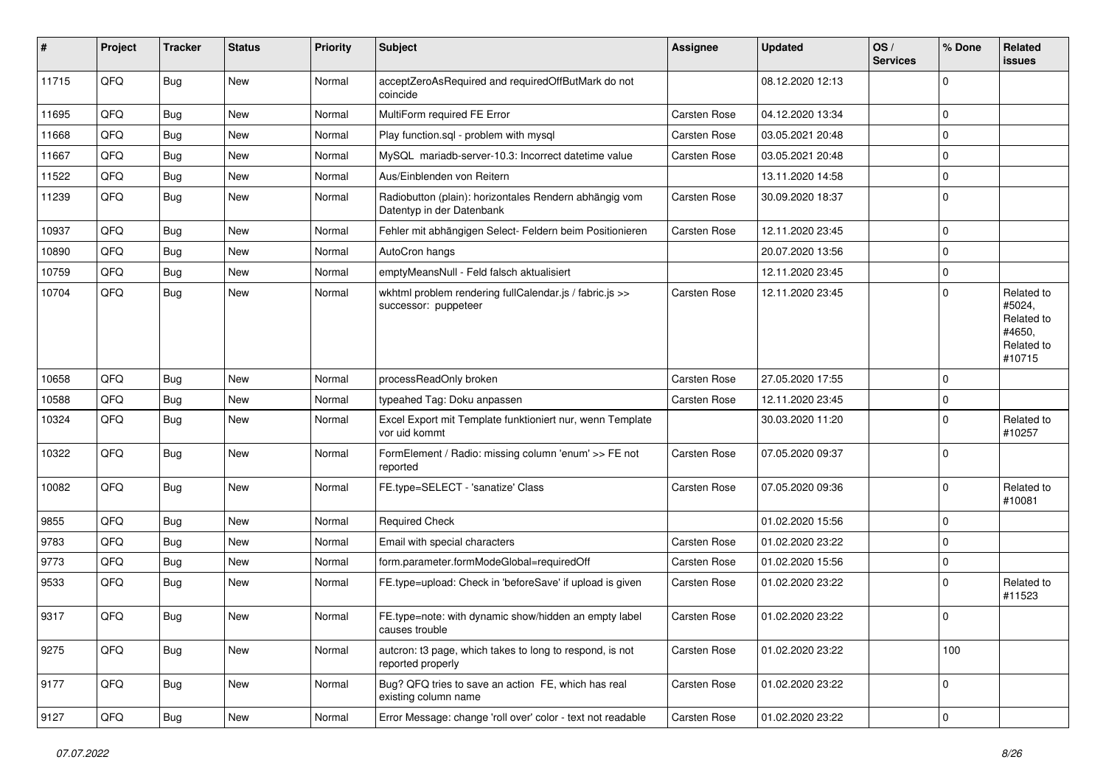| #     | Project | <b>Tracker</b> | <b>Status</b> | <b>Priority</b> | Subject                                                                             | <b>Assignee</b>     | <b>Updated</b>   | OS/<br><b>Services</b> | % Done         | Related<br>issues                                                    |
|-------|---------|----------------|---------------|-----------------|-------------------------------------------------------------------------------------|---------------------|------------------|------------------------|----------------|----------------------------------------------------------------------|
| 11715 | QFQ     | <b>Bug</b>     | <b>New</b>    | Normal          | acceptZeroAsRequired and requiredOffButMark do not<br>coincide                      |                     | 08.12.2020 12:13 |                        | $\Omega$       |                                                                      |
| 11695 | QFQ     | <b>Bug</b>     | New           | Normal          | MultiForm required FE Error                                                         | <b>Carsten Rose</b> | 04.12.2020 13:34 |                        | 0              |                                                                      |
| 11668 | QFQ     | <b>Bug</b>     | New           | Normal          | Play function.sql - problem with mysql                                              | <b>Carsten Rose</b> | 03.05.2021 20:48 |                        | $\Omega$       |                                                                      |
| 11667 | QFQ     | <b>Bug</b>     | New           | Normal          | MySQL mariadb-server-10.3: Incorrect datetime value                                 | <b>Carsten Rose</b> | 03.05.2021 20:48 |                        | $\Omega$       |                                                                      |
| 11522 | QFQ     | <b>Bug</b>     | <b>New</b>    | Normal          | Aus/Einblenden von Reitern                                                          |                     | 13.11.2020 14:58 |                        | $\Omega$       |                                                                      |
| 11239 | QFQ     | <b>Bug</b>     | New           | Normal          | Radiobutton (plain): horizontales Rendern abhängig vom<br>Datentyp in der Datenbank | Carsten Rose        | 30.09.2020 18:37 |                        | $\Omega$       |                                                                      |
| 10937 | QFQ     | <b>Bug</b>     | <b>New</b>    | Normal          | Fehler mit abhängigen Select- Feldern beim Positionieren                            | <b>Carsten Rose</b> | 12.11.2020 23:45 |                        | $\mathbf 0$    |                                                                      |
| 10890 | QFQ     | Bug            | New           | Normal          | AutoCron hangs                                                                      |                     | 20.07.2020 13:56 |                        | $\Omega$       |                                                                      |
| 10759 | QFQ     | <b>Bug</b>     | <b>New</b>    | Normal          | emptyMeansNull - Feld falsch aktualisiert                                           |                     | 12.11.2020 23:45 |                        | 0              |                                                                      |
| 10704 | QFQ     | <b>Bug</b>     | New           | Normal          | wkhtml problem rendering fullCalendar.js / fabric.js >><br>successor: puppeteer     | Carsten Rose        | 12.11.2020 23:45 |                        | $\Omega$       | Related to<br>#5024,<br>Related to<br>#4650,<br>Related to<br>#10715 |
| 10658 | QFQ     | Bug            | New           | Normal          | processReadOnly broken                                                              | <b>Carsten Rose</b> | 27.05.2020 17:55 |                        | $\Omega$       |                                                                      |
| 10588 | QFQ     | Bug            | New           | Normal          | typeahed Tag: Doku anpassen                                                         | Carsten Rose        | 12.11.2020 23:45 |                        | 0              |                                                                      |
| 10324 | QFQ     | Bug            | New           | Normal          | Excel Export mit Template funktioniert nur, wenn Template<br>vor uid kommt          |                     | 30.03.2020 11:20 |                        | $\Omega$       | Related to<br>#10257                                                 |
| 10322 | QFQ     | <b>Bug</b>     | <b>New</b>    | Normal          | FormElement / Radio: missing column 'enum' >> FE not<br>reported                    | <b>Carsten Rose</b> | 07.05.2020 09:37 |                        | $\Omega$       |                                                                      |
| 10082 | QFQ     | <b>Bug</b>     | <b>New</b>    | Normal          | FE.type=SELECT - 'sanatize' Class                                                   | <b>Carsten Rose</b> | 07.05.2020 09:36 |                        | $\Omega$       | Related to<br>#10081                                                 |
| 9855  | QFQ     | Bug            | <b>New</b>    | Normal          | <b>Required Check</b>                                                               |                     | 01.02.2020 15:56 |                        | $\Omega$       |                                                                      |
| 9783  | QFQ     | Bug            | New           | Normal          | Email with special characters                                                       | Carsten Rose        | 01.02.2020 23:22 |                        | 0              |                                                                      |
| 9773  | QFQ     | <b>Bug</b>     | <b>New</b>    | Normal          | form.parameter.formModeGlobal=requiredOff                                           | <b>Carsten Rose</b> | 01.02.2020 15:56 |                        | $\Omega$       |                                                                      |
| 9533  | QFQ     | <b>Bug</b>     | New           | Normal          | FE.type=upload: Check in 'beforeSave' if upload is given                            | Carsten Rose        | 01.02.2020 23:22 |                        | $\Omega$       | Related to<br>#11523                                                 |
| 9317  | QFQ     | Bug            | New           | Normal          | FE.type=note: with dynamic show/hidden an empty label<br>causes trouble             | Carsten Rose        | 01.02.2020 23:22 |                        | 0              |                                                                      |
| 9275  | QFQ     | <b>Bug</b>     | New           | Normal          | autcron: t3 page, which takes to long to respond, is not<br>reported properly       | Carsten Rose        | 01.02.2020 23:22 |                        | 100            |                                                                      |
| 9177  | QFQ     | <b>Bug</b>     | New           | Normal          | Bug? QFQ tries to save an action FE, which has real<br>existing column name         | Carsten Rose        | 01.02.2020 23:22 |                        | $\mathbf 0$    |                                                                      |
| 9127  | QFQ     | <b>Bug</b>     | New           | Normal          | Error Message: change 'roll over' color - text not readable                         | Carsten Rose        | 01.02.2020 23:22 |                        | $\overline{0}$ |                                                                      |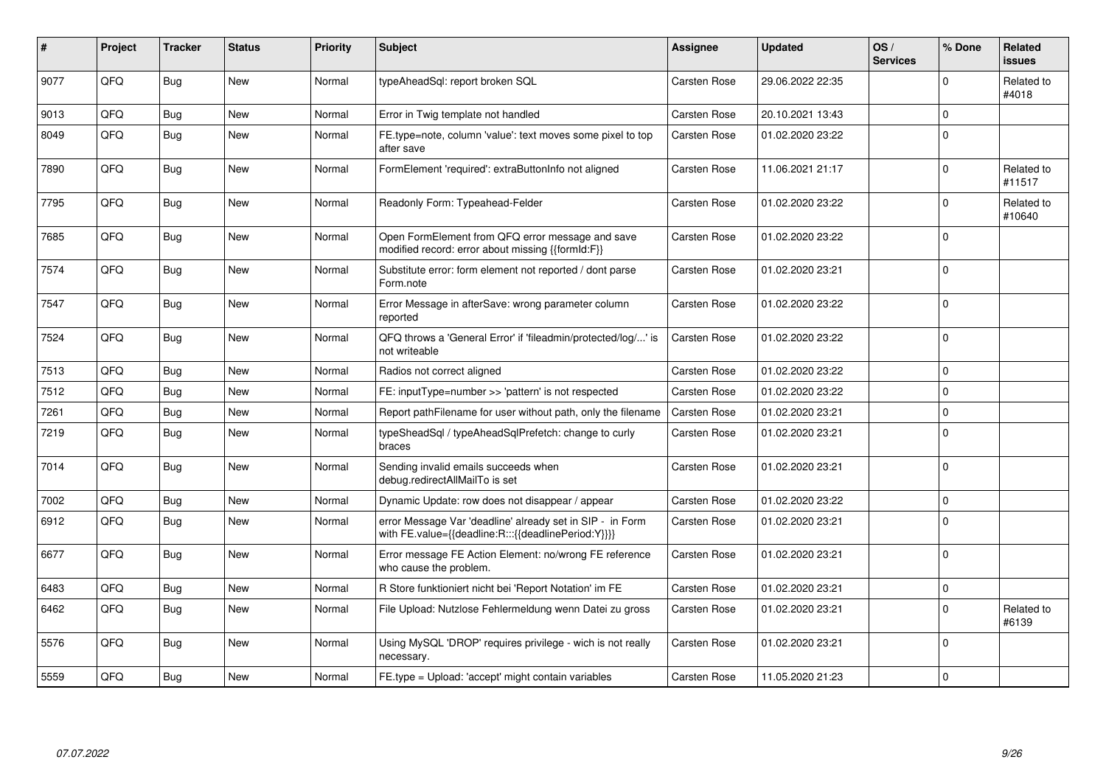| #    | Project | <b>Tracker</b> | <b>Status</b> | <b>Priority</b> | <b>Subject</b>                                                                                                   | Assignee            | <b>Updated</b>   | OS/<br><b>Services</b> | % Done         | Related<br><b>issues</b> |
|------|---------|----------------|---------------|-----------------|------------------------------------------------------------------------------------------------------------------|---------------------|------------------|------------------------|----------------|--------------------------|
| 9077 | QFQ     | Bug            | <b>New</b>    | Normal          | typeAheadSql: report broken SQL                                                                                  | Carsten Rose        | 29.06.2022 22:35 |                        | $\Omega$       | Related to<br>#4018      |
| 9013 | QFQ     | <b>Bug</b>     | <b>New</b>    | Normal          | Error in Twig template not handled                                                                               | Carsten Rose        | 20.10.2021 13:43 |                        | $\Omega$       |                          |
| 8049 | QFQ     | <b>Bug</b>     | <b>New</b>    | Normal          | FE.type=note, column 'value': text moves some pixel to top<br>after save                                         | <b>Carsten Rose</b> | 01.02.2020 23:22 |                        | 0 I            |                          |
| 7890 | QFQ     | <b>Bug</b>     | New           | Normal          | FormElement 'required': extraButtonInfo not aligned                                                              | Carsten Rose        | 11.06.2021 21:17 |                        | $\Omega$       | Related to<br>#11517     |
| 7795 | QFQ     | Bug            | <b>New</b>    | Normal          | Readonly Form: Typeahead-Felder                                                                                  | Carsten Rose        | 01.02.2020 23:22 |                        | $\Omega$       | Related to<br>#10640     |
| 7685 | QFQ     | Bug            | <b>New</b>    | Normal          | Open FormElement from QFQ error message and save<br>modified record: error about missing {{formId:F}}            | Carsten Rose        | 01.02.2020 23:22 |                        | 0              |                          |
| 7574 | QFQ     | Bug            | <b>New</b>    | Normal          | Substitute error: form element not reported / dont parse<br>Form.note                                            | Carsten Rose        | 01.02.2020 23:21 |                        | l 0            |                          |
| 7547 | QFQ     | Bug            | New           | Normal          | Error Message in afterSave: wrong parameter column<br>reported                                                   | Carsten Rose        | 01.02.2020 23:22 |                        | l 0            |                          |
| 7524 | QFQ     | <b>Bug</b>     | <b>New</b>    | Normal          | QFQ throws a 'General Error' if 'fileadmin/protected/log/' is<br>not writeable                                   | Carsten Rose        | 01.02.2020 23:22 |                        | $\overline{0}$ |                          |
| 7513 | QFQ     | Bug            | New           | Normal          | Radios not correct aligned                                                                                       | <b>Carsten Rose</b> | 01.02.2020 23:22 |                        | $\mathbf 0$    |                          |
| 7512 | QFQ     | Bug            | New           | Normal          | FE: inputType=number >> 'pattern' is not respected                                                               | Carsten Rose        | 01.02.2020 23:22 |                        | 0 I            |                          |
| 7261 | QFQ     | <b>Bug</b>     | New           | Normal          | Report pathFilename for user without path, only the filename                                                     | <b>Carsten Rose</b> | 01.02.2020 23:21 |                        | $\Omega$       |                          |
| 7219 | QFQ     | <b>Bug</b>     | <b>New</b>    | Normal          | typeSheadSql / typeAheadSqlPrefetch: change to curly<br>braces                                                   | Carsten Rose        | 01.02.2020 23:21 |                        | l 0            |                          |
| 7014 | QFQ     | Bug            | <b>New</b>    | Normal          | Sending invalid emails succeeds when<br>debug.redirectAllMailTo is set                                           | <b>Carsten Rose</b> | 01.02.2020 23:21 |                        | l 0            |                          |
| 7002 | QFQ     | <b>Bug</b>     | <b>New</b>    | Normal          | Dynamic Update: row does not disappear / appear                                                                  | Carsten Rose        | 01.02.2020 23:22 |                        | $\Omega$       |                          |
| 6912 | QFQ     | Bug            | New           | Normal          | error Message Var 'deadline' already set in SIP - in Form<br>with FE.value={{deadline:R:::{{deadlinePeriod:Y}}}} | Carsten Rose        | 01.02.2020 23:21 |                        | 0              |                          |
| 6677 | QFQ     | Bug            | <b>New</b>    | Normal          | Error message FE Action Element: no/wrong FE reference<br>who cause the problem.                                 | Carsten Rose        | 01.02.2020 23:21 |                        | l 0            |                          |
| 6483 | QFQ     | Bug            | <b>New</b>    | Normal          | R Store funktioniert nicht bei 'Report Notation' im FE                                                           | <b>Carsten Rose</b> | 01.02.2020 23:21 |                        | 0              |                          |
| 6462 | QFQ     | Bug            | New           | Normal          | File Upload: Nutzlose Fehlermeldung wenn Datei zu gross                                                          | <b>Carsten Rose</b> | 01.02.2020 23:21 |                        | l 0            | Related to<br>#6139      |
| 5576 | OFQ     | Bug            | New           | Normal          | Using MySQL 'DROP' requires privilege - wich is not really<br>necessary.                                         | Carsten Rose        | 01.02.2020 23:21 |                        | 0              |                          |
| 5559 | QFQ     | Bug            | <b>New</b>    | Normal          | FE.type = Upload: 'accept' might contain variables                                                               | <b>Carsten Rose</b> | 11.05.2020 21:23 |                        | $\Omega$       |                          |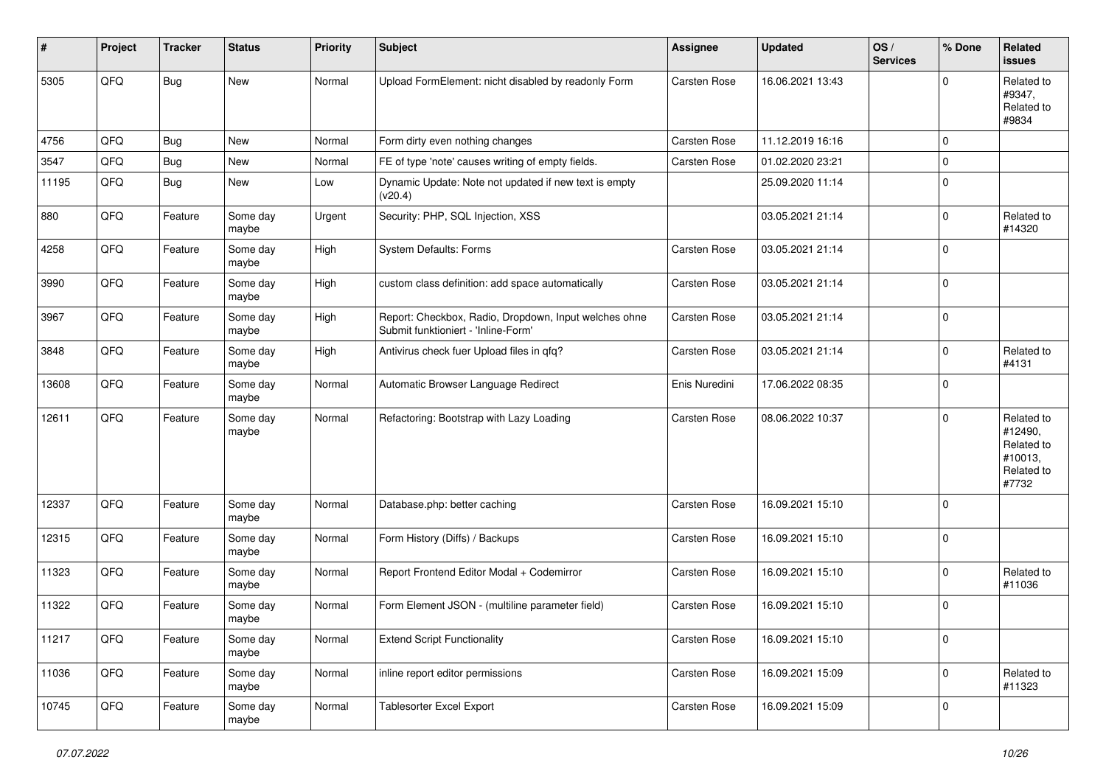| #     | Project | <b>Tracker</b> | <b>Status</b>     | <b>Priority</b> | <b>Subject</b>                                                                               | <b>Assignee</b>     | <b>Updated</b>   | OS/<br><b>Services</b> | % Done      | Related<br>issues                                                     |
|-------|---------|----------------|-------------------|-----------------|----------------------------------------------------------------------------------------------|---------------------|------------------|------------------------|-------------|-----------------------------------------------------------------------|
| 5305  | QFQ     | <b>Bug</b>     | New               | Normal          | Upload FormElement: nicht disabled by readonly Form                                          | <b>Carsten Rose</b> | 16.06.2021 13:43 |                        | $\Omega$    | Related to<br>#9347,<br>Related to<br>#9834                           |
| 4756  | QFQ     | Bug            | <b>New</b>        | Normal          | Form dirty even nothing changes                                                              | <b>Carsten Rose</b> | 11.12.2019 16:16 |                        | $\Omega$    |                                                                       |
| 3547  | QFQ     | Bug            | New               | Normal          | FE of type 'note' causes writing of empty fields.                                            | <b>Carsten Rose</b> | 01.02.2020 23:21 |                        | $\mathbf 0$ |                                                                       |
| 11195 | QFQ     | <b>Bug</b>     | <b>New</b>        | Low             | Dynamic Update: Note not updated if new text is empty<br>(v20.4)                             |                     | 25.09.2020 11:14 |                        | $\Omega$    |                                                                       |
| 880   | QFQ     | Feature        | Some day<br>maybe | Urgent          | Security: PHP, SQL Injection, XSS                                                            |                     | 03.05.2021 21:14 |                        | $\mathbf 0$ | Related to<br>#14320                                                  |
| 4258  | QFQ     | Feature        | Some day<br>maybe | High            | <b>System Defaults: Forms</b>                                                                | Carsten Rose        | 03.05.2021 21:14 |                        | $\Omega$    |                                                                       |
| 3990  | QFQ     | Feature        | Some day<br>maybe | High            | custom class definition: add space automatically                                             | Carsten Rose        | 03.05.2021 21:14 |                        | $\mathbf 0$ |                                                                       |
| 3967  | QFQ     | Feature        | Some day<br>maybe | High            | Report: Checkbox, Radio, Dropdown, Input welches ohne<br>Submit funktioniert - 'Inline-Form' | <b>Carsten Rose</b> | 03.05.2021 21:14 |                        | l 0         |                                                                       |
| 3848  | QFQ     | Feature        | Some day<br>maybe | High            | Antivirus check fuer Upload files in qfq?                                                    | Carsten Rose        | 03.05.2021 21:14 |                        | $\mathbf 0$ | Related to<br>#4131                                                   |
| 13608 | QFQ     | Feature        | Some day<br>maybe | Normal          | Automatic Browser Language Redirect                                                          | Enis Nuredini       | 17.06.2022 08:35 |                        | $\Omega$    |                                                                       |
| 12611 | QFQ     | Feature        | Some day<br>maybe | Normal          | Refactoring: Bootstrap with Lazy Loading                                                     | <b>Carsten Rose</b> | 08.06.2022 10:37 |                        | $\Omega$    | Related to<br>#12490,<br>Related to<br>#10013,<br>Related to<br>#7732 |
| 12337 | QFQ     | Feature        | Some day<br>maybe | Normal          | Database.php: better caching                                                                 | Carsten Rose        | 16.09.2021 15:10 |                        | 0           |                                                                       |
| 12315 | QFQ     | Feature        | Some day<br>maybe | Normal          | Form History (Diffs) / Backups                                                               | <b>Carsten Rose</b> | 16.09.2021 15:10 |                        | 0           |                                                                       |
| 11323 | QFQ     | Feature        | Some day<br>maybe | Normal          | Report Frontend Editor Modal + Codemirror                                                    | Carsten Rose        | 16.09.2021 15:10 |                        | $\Omega$    | Related to<br>#11036                                                  |
| 11322 | QFQ     | Feature        | Some day<br>maybe | Normal          | Form Element JSON - (multiline parameter field)                                              | <b>Carsten Rose</b> | 16.09.2021 15:10 |                        | $\mathbf 0$ |                                                                       |
| 11217 | QFO     | Feature        | Some day<br>maybe | Normal          | <b>Extend Script Functionality</b>                                                           | Carsten Rose        | 16.09.2021 15:10 |                        | 0           |                                                                       |
| 11036 | QFO     | Feature        | Some day<br>maybe | Normal          | inline report editor permissions                                                             | Carsten Rose        | 16.09.2021 15:09 |                        | 0           | Related to<br>#11323                                                  |
| 10745 | QFG     | Feature        | Some day<br>maybe | Normal          | <b>Tablesorter Excel Export</b>                                                              | Carsten Rose        | 16.09.2021 15:09 |                        | 0           |                                                                       |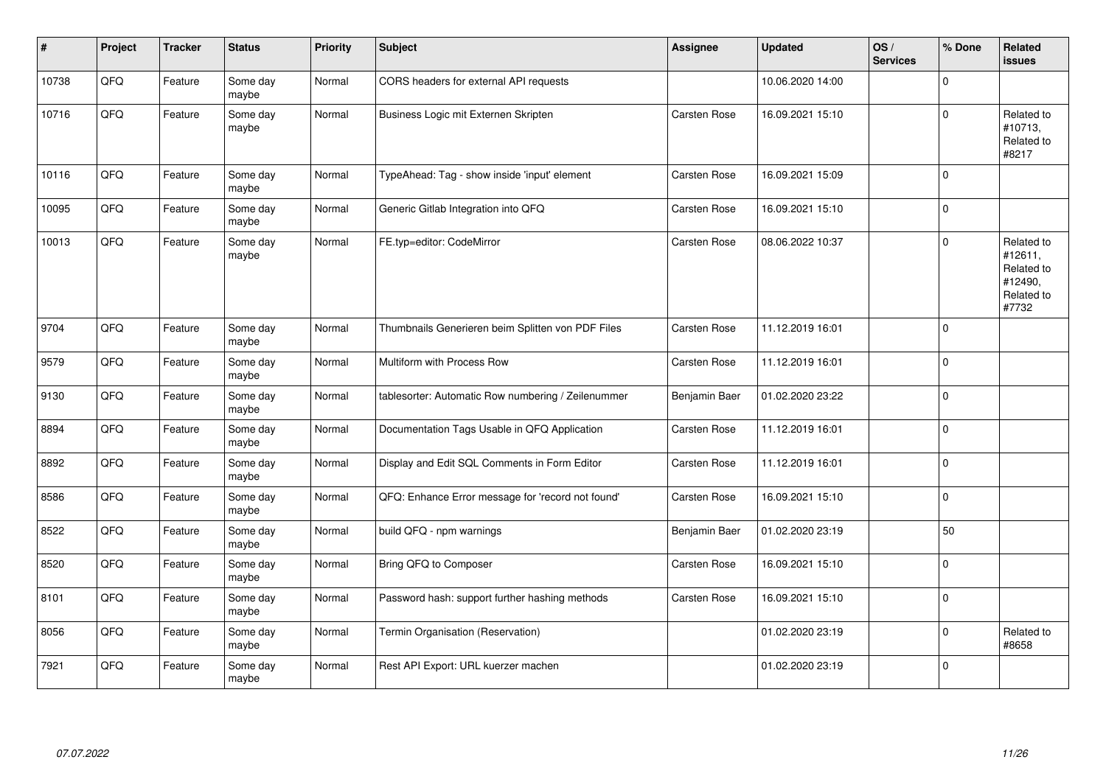| $\vert$ # | Project | <b>Tracker</b> | <b>Status</b>     | <b>Priority</b> | <b>Subject</b>                                     | <b>Assignee</b>     | <b>Updated</b>   | OS/<br><b>Services</b> | % Done       | Related<br><b>issues</b>                                              |
|-----------|---------|----------------|-------------------|-----------------|----------------------------------------------------|---------------------|------------------|------------------------|--------------|-----------------------------------------------------------------------|
| 10738     | QFQ     | Feature        | Some day<br>maybe | Normal          | CORS headers for external API requests             |                     | 10.06.2020 14:00 |                        | $\Omega$     |                                                                       |
| 10716     | QFQ     | Feature        | Some day<br>maybe | Normal          | Business Logic mit Externen Skripten               | <b>Carsten Rose</b> | 16.09.2021 15:10 |                        | $\Omega$     | Related to<br>#10713,<br>Related to<br>#8217                          |
| 10116     | QFQ     | Feature        | Some day<br>maybe | Normal          | TypeAhead: Tag - show inside 'input' element       | <b>Carsten Rose</b> | 16.09.2021 15:09 |                        | $\Omega$     |                                                                       |
| 10095     | QFQ     | Feature        | Some day<br>maybe | Normal          | Generic Gitlab Integration into QFQ                | Carsten Rose        | 16.09.2021 15:10 |                        | $\Omega$     |                                                                       |
| 10013     | QFQ     | Feature        | Some day<br>maybe | Normal          | FE.typ=editor: CodeMirror                          | Carsten Rose        | 08.06.2022 10:37 |                        | $\Omega$     | Related to<br>#12611,<br>Related to<br>#12490,<br>Related to<br>#7732 |
| 9704      | QFQ     | Feature        | Some day<br>maybe | Normal          | Thumbnails Generieren beim Splitten von PDF Files  | Carsten Rose        | 11.12.2019 16:01 |                        | $\Omega$     |                                                                       |
| 9579      | QFQ     | Feature        | Some day<br>maybe | Normal          | Multiform with Process Row                         | Carsten Rose        | 11.12.2019 16:01 |                        | $\Omega$     |                                                                       |
| 9130      | QFQ     | Feature        | Some day<br>maybe | Normal          | tablesorter: Automatic Row numbering / Zeilenummer | Benjamin Baer       | 01.02.2020 23:22 |                        | $\Omega$     |                                                                       |
| 8894      | QFQ     | Feature        | Some day<br>maybe | Normal          | Documentation Tags Usable in QFQ Application       | Carsten Rose        | 11.12.2019 16:01 |                        | $\Omega$     |                                                                       |
| 8892      | QFQ     | Feature        | Some day<br>maybe | Normal          | Display and Edit SQL Comments in Form Editor       | <b>Carsten Rose</b> | 11.12.2019 16:01 |                        | $\Omega$     |                                                                       |
| 8586      | QFQ     | Feature        | Some day<br>maybe | Normal          | QFQ: Enhance Error message for 'record not found'  | Carsten Rose        | 16.09.2021 15:10 |                        | $\Omega$     |                                                                       |
| 8522      | QFQ     | Feature        | Some day<br>maybe | Normal          | build QFQ - npm warnings                           | Benjamin Baer       | 01.02.2020 23:19 |                        | 50           |                                                                       |
| 8520      | QFQ     | Feature        | Some day<br>maybe | Normal          | Bring QFQ to Composer                              | Carsten Rose        | 16.09.2021 15:10 |                        | $\Omega$     |                                                                       |
| 8101      | QFQ     | Feature        | Some day<br>maybe | Normal          | Password hash: support further hashing methods     | Carsten Rose        | 16.09.2021 15:10 |                        | $\Omega$     |                                                                       |
| 8056      | QFQ     | Feature        | Some day<br>maybe | Normal          | Termin Organisation (Reservation)                  |                     | 01.02.2020 23:19 |                        | <sup>0</sup> | Related to<br>#8658                                                   |
| 7921      | QFQ     | Feature        | Some day<br>maybe | Normal          | Rest API Export: URL kuerzer machen                |                     | 01.02.2020 23:19 |                        | $\Omega$     |                                                                       |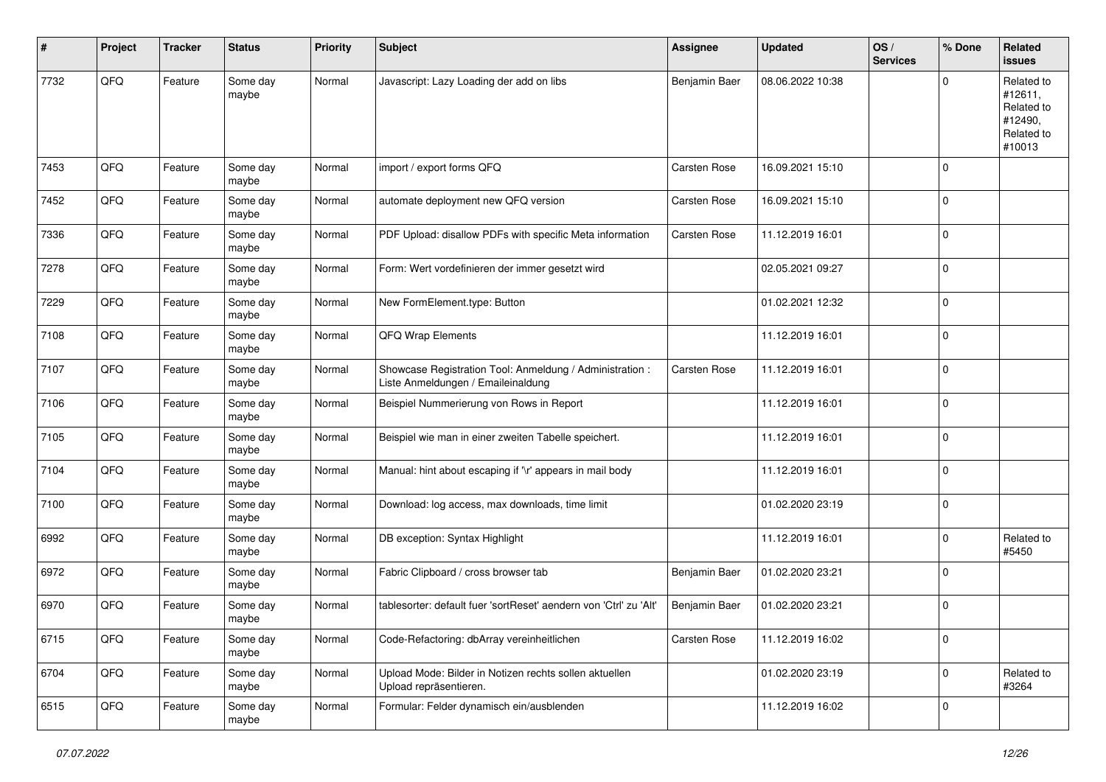| #    | Project | <b>Tracker</b> | <b>Status</b>     | <b>Priority</b> | <b>Subject</b>                                                                                 | <b>Assignee</b>     | <b>Updated</b>   | OS/<br><b>Services</b> | % Done      | Related<br>issues                                                      |
|------|---------|----------------|-------------------|-----------------|------------------------------------------------------------------------------------------------|---------------------|------------------|------------------------|-------------|------------------------------------------------------------------------|
| 7732 | QFQ     | Feature        | Some day<br>maybe | Normal          | Javascript: Lazy Loading der add on libs                                                       | Benjamin Baer       | 08.06.2022 10:38 |                        | $\Omega$    | Related to<br>#12611.<br>Related to<br>#12490,<br>Related to<br>#10013 |
| 7453 | QFQ     | Feature        | Some day<br>maybe | Normal          | import / export forms QFQ                                                                      | <b>Carsten Rose</b> | 16.09.2021 15:10 |                        | 0           |                                                                        |
| 7452 | QFQ     | Feature        | Some day<br>maybe | Normal          | automate deployment new QFQ version                                                            | <b>Carsten Rose</b> | 16.09.2021 15:10 |                        | 0           |                                                                        |
| 7336 | QFQ     | Feature        | Some day<br>maybe | Normal          | PDF Upload: disallow PDFs with specific Meta information                                       | Carsten Rose        | 11.12.2019 16:01 |                        | $\mathbf 0$ |                                                                        |
| 7278 | QFQ     | Feature        | Some day<br>maybe | Normal          | Form: Wert vordefinieren der immer gesetzt wird                                                |                     | 02.05.2021 09:27 |                        | 0           |                                                                        |
| 7229 | QFQ     | Feature        | Some day<br>maybe | Normal          | New FormElement.type: Button                                                                   |                     | 01.02.2021 12:32 |                        | 0           |                                                                        |
| 7108 | QFQ     | Feature        | Some day<br>maybe | Normal          | QFQ Wrap Elements                                                                              |                     | 11.12.2019 16:01 |                        | 0           |                                                                        |
| 7107 | QFQ     | Feature        | Some day<br>maybe | Normal          | Showcase Registration Tool: Anmeldung / Administration :<br>Liste Anmeldungen / Emaileinaldung | <b>Carsten Rose</b> | 11.12.2019 16:01 |                        | 0           |                                                                        |
| 7106 | QFQ     | Feature        | Some day<br>maybe | Normal          | Beispiel Nummerierung von Rows in Report                                                       |                     | 11.12.2019 16:01 |                        | 0           |                                                                        |
| 7105 | QFQ     | Feature        | Some day<br>maybe | Normal          | Beispiel wie man in einer zweiten Tabelle speichert.                                           |                     | 11.12.2019 16:01 |                        | 0           |                                                                        |
| 7104 | QFQ     | Feature        | Some day<br>maybe | Normal          | Manual: hint about escaping if '\r' appears in mail body                                       |                     | 11.12.2019 16:01 |                        | $\Omega$    |                                                                        |
| 7100 | QFQ     | Feature        | Some day<br>maybe | Normal          | Download: log access, max downloads, time limit                                                |                     | 01.02.2020 23:19 |                        | 0           |                                                                        |
| 6992 | QFQ     | Feature        | Some day<br>maybe | Normal          | DB exception: Syntax Highlight                                                                 |                     | 11.12.2019 16:01 |                        | 0           | Related to<br>#5450                                                    |
| 6972 | QFQ     | Feature        | Some day<br>maybe | Normal          | Fabric Clipboard / cross browser tab                                                           | Benjamin Baer       | 01.02.2020 23:21 |                        | 0           |                                                                        |
| 6970 | QFQ     | Feature        | Some day<br>maybe | Normal          | tablesorter: default fuer 'sortReset' aendern von 'Ctrl' zu 'Alt'                              | Benjamin Baer       | 01.02.2020 23:21 |                        | 0           |                                                                        |
| 6715 | QFQ     | Feature        | Some day<br>maybe | Normal          | Code-Refactoring: dbArray vereinheitlichen                                                     | Carsten Rose        | 11.12.2019 16:02 |                        | 0           |                                                                        |
| 6704 | QFQ     | Feature        | Some day<br>maybe | Normal          | Upload Mode: Bilder in Notizen rechts sollen aktuellen<br>Upload repräsentieren.               |                     | 01.02.2020 23:19 |                        | 0           | Related to<br>#3264                                                    |
| 6515 | QFQ     | Feature        | Some day<br>maybe | Normal          | Formular: Felder dynamisch ein/ausblenden                                                      |                     | 11.12.2019 16:02 |                        | 0           |                                                                        |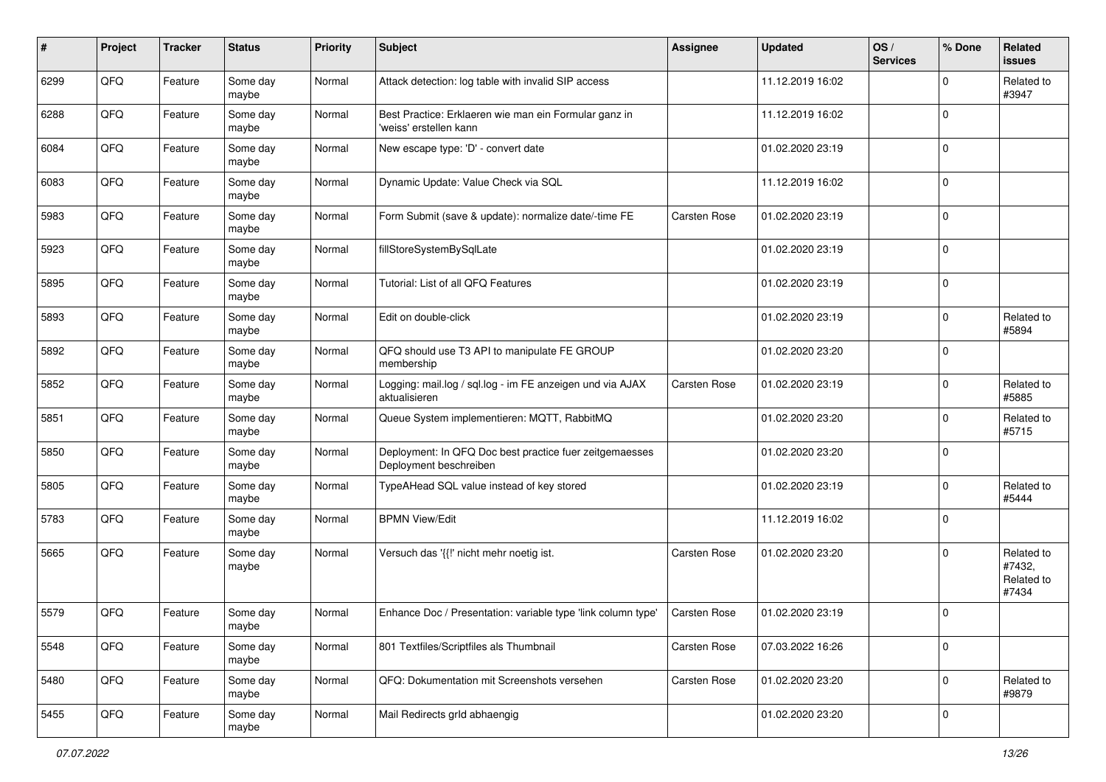| #    | Project | <b>Tracker</b> | <b>Status</b>     | <b>Priority</b> | <b>Subject</b>                                                                    | <b>Assignee</b>     | <b>Updated</b>   | OS/<br><b>Services</b> | % Done      | Related<br>issues                           |
|------|---------|----------------|-------------------|-----------------|-----------------------------------------------------------------------------------|---------------------|------------------|------------------------|-------------|---------------------------------------------|
| 6299 | QFQ     | Feature        | Some day<br>maybe | Normal          | Attack detection: log table with invalid SIP access                               |                     | 11.12.2019 16:02 |                        | $\Omega$    | Related to<br>#3947                         |
| 6288 | QFQ     | Feature        | Some day<br>maybe | Normal          | Best Practice: Erklaeren wie man ein Formular ganz in<br>'weiss' erstellen kann   |                     | 11.12.2019 16:02 |                        | $\Omega$    |                                             |
| 6084 | QFQ     | Feature        | Some day<br>maybe | Normal          | New escape type: 'D' - convert date                                               |                     | 01.02.2020 23:19 |                        | $\Omega$    |                                             |
| 6083 | QFQ     | Feature        | Some day<br>maybe | Normal          | Dynamic Update: Value Check via SQL                                               |                     | 11.12.2019 16:02 |                        | $\Omega$    |                                             |
| 5983 | QFQ     | Feature        | Some day<br>maybe | Normal          | Form Submit (save & update): normalize date/-time FE                              | <b>Carsten Rose</b> | 01.02.2020 23:19 |                        | $\mathbf 0$ |                                             |
| 5923 | QFQ     | Feature        | Some day<br>maybe | Normal          | fillStoreSystemBySqlLate                                                          |                     | 01.02.2020 23:19 |                        | $\Omega$    |                                             |
| 5895 | QFQ     | Feature        | Some day<br>maybe | Normal          | Tutorial: List of all QFQ Features                                                |                     | 01.02.2020 23:19 |                        | $\Omega$    |                                             |
| 5893 | QFQ     | Feature        | Some day<br>maybe | Normal          | Edit on double-click                                                              |                     | 01.02.2020 23:19 |                        | 0           | Related to<br>#5894                         |
| 5892 | QFQ     | Feature        | Some day<br>maybe | Normal          | QFQ should use T3 API to manipulate FE GROUP<br>membership                        |                     | 01.02.2020 23:20 |                        | 0           |                                             |
| 5852 | QFQ     | Feature        | Some day<br>maybe | Normal          | Logging: mail.log / sql.log - im FE anzeigen und via AJAX<br>aktualisieren        | Carsten Rose        | 01.02.2020 23:19 |                        | $\Omega$    | Related to<br>#5885                         |
| 5851 | QFQ     | Feature        | Some day<br>maybe | Normal          | Queue System implementieren: MQTT, RabbitMQ                                       |                     | 01.02.2020 23:20 |                        | $\Omega$    | Related to<br>#5715                         |
| 5850 | QFQ     | Feature        | Some day<br>maybe | Normal          | Deployment: In QFQ Doc best practice fuer zeitgemaesses<br>Deployment beschreiben |                     | 01.02.2020 23:20 |                        | $\mathbf 0$ |                                             |
| 5805 | QFQ     | Feature        | Some day<br>maybe | Normal          | TypeAHead SQL value instead of key stored                                         |                     | 01.02.2020 23:19 |                        | $\Omega$    | Related to<br>#5444                         |
| 5783 | QFQ     | Feature        | Some day<br>maybe | Normal          | <b>BPMN View/Edit</b>                                                             |                     | 11.12.2019 16:02 |                        | $\Omega$    |                                             |
| 5665 | QFQ     | Feature        | Some day<br>maybe | Normal          | Versuch das '{{!' nicht mehr noetig ist.                                          | <b>Carsten Rose</b> | 01.02.2020 23:20 |                        | $\Omega$    | Related to<br>#7432,<br>Related to<br>#7434 |
| 5579 | QFQ     | Feature        | Some day<br>maybe | Normal          | Enhance Doc / Presentation: variable type 'link column type'                      | <b>Carsten Rose</b> | 01.02.2020 23:19 |                        | $\Omega$    |                                             |
| 5548 | QFQ     | Feature        | Some day<br>maybe | Normal          | 801 Textfiles/Scriptfiles als Thumbnail                                           | Carsten Rose        | 07.03.2022 16:26 |                        | $\mathbf 0$ |                                             |
| 5480 | QFQ     | Feature        | Some day<br>maybe | Normal          | QFQ: Dokumentation mit Screenshots versehen                                       | Carsten Rose        | 01.02.2020 23:20 |                        | $\mathbf 0$ | Related to<br>#9879                         |
| 5455 | QFG     | Feature        | Some day<br>maybe | Normal          | Mail Redirects grld abhaengig                                                     |                     | 01.02.2020 23:20 |                        | $\mathbf 0$ |                                             |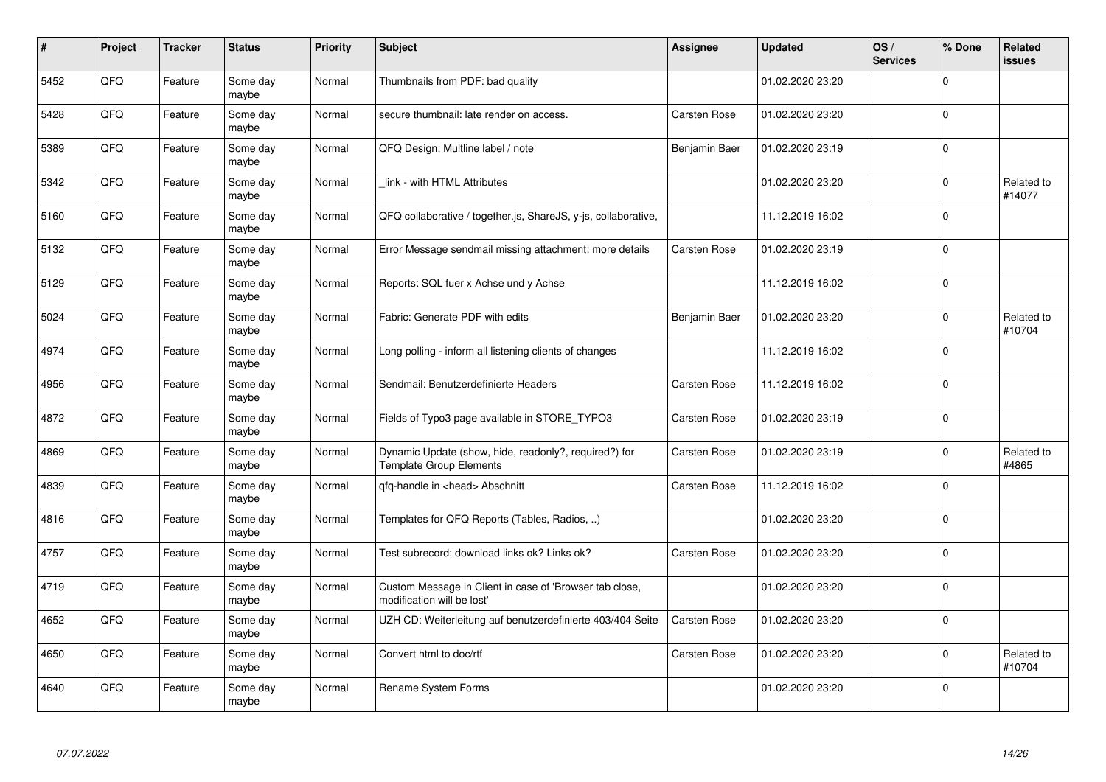| #    | Project | <b>Tracker</b> | <b>Status</b>     | <b>Priority</b> | <b>Subject</b>                                                                          | <b>Assignee</b>     | <b>Updated</b>   | OS/<br><b>Services</b> | % Done       | Related<br><b>issues</b> |
|------|---------|----------------|-------------------|-----------------|-----------------------------------------------------------------------------------------|---------------------|------------------|------------------------|--------------|--------------------------|
| 5452 | QFQ     | Feature        | Some day<br>maybe | Normal          | Thumbnails from PDF: bad quality                                                        |                     | 01.02.2020 23:20 |                        | $\Omega$     |                          |
| 5428 | QFQ     | Feature        | Some day<br>maybe | Normal          | secure thumbnail: late render on access.                                                | <b>Carsten Rose</b> | 01.02.2020 23:20 |                        | $\Omega$     |                          |
| 5389 | QFQ     | Feature        | Some day<br>maybe | Normal          | QFQ Design: Multline label / note                                                       | Benjamin Baer       | 01.02.2020 23:19 |                        | $\Omega$     |                          |
| 5342 | QFQ     | Feature        | Some day<br>maybe | Normal          | link - with HTML Attributes                                                             |                     | 01.02.2020 23:20 |                        | $\Omega$     | Related to<br>#14077     |
| 5160 | QFQ     | Feature        | Some day<br>maybe | Normal          | QFQ collaborative / together.js, ShareJS, y-js, collaborative,                          |                     | 11.12.2019 16:02 |                        | $\mathbf 0$  |                          |
| 5132 | QFQ     | Feature        | Some day<br>maybe | Normal          | Error Message sendmail missing attachment: more details                                 | <b>Carsten Rose</b> | 01.02.2020 23:19 |                        | $\Omega$     |                          |
| 5129 | QFQ     | Feature        | Some day<br>maybe | Normal          | Reports: SQL fuer x Achse und y Achse                                                   |                     | 11.12.2019 16:02 |                        | $\Omega$     |                          |
| 5024 | QFQ     | Feature        | Some day<br>maybe | Normal          | Fabric: Generate PDF with edits                                                         | Benjamin Baer       | 01.02.2020 23:20 |                        | $\Omega$     | Related to<br>#10704     |
| 4974 | QFQ     | Feature        | Some day<br>maybe | Normal          | Long polling - inform all listening clients of changes                                  |                     | 11.12.2019 16:02 |                        | $\Omega$     |                          |
| 4956 | QFQ     | Feature        | Some day<br>maybe | Normal          | Sendmail: Benutzerdefinierte Headers                                                    | <b>Carsten Rose</b> | 11.12.2019 16:02 |                        | $\Omega$     |                          |
| 4872 | QFQ     | Feature        | Some day<br>maybe | Normal          | Fields of Typo3 page available in STORE TYPO3                                           | <b>Carsten Rose</b> | 01.02.2020 23:19 |                        | $\Omega$     |                          |
| 4869 | QFQ     | Feature        | Some day<br>maybe | Normal          | Dynamic Update (show, hide, readonly?, required?) for<br><b>Template Group Elements</b> | <b>Carsten Rose</b> | 01.02.2020 23:19 |                        | $\Omega$     | Related to<br>#4865      |
| 4839 | QFQ     | Feature        | Some day<br>maybe | Normal          | qfq-handle in <head> Abschnitt</head>                                                   | <b>Carsten Rose</b> | 11.12.2019 16:02 |                        | $\Omega$     |                          |
| 4816 | QFQ     | Feature        | Some day<br>maybe | Normal          | Templates for QFQ Reports (Tables, Radios, )                                            |                     | 01.02.2020 23:20 |                        | $\mathbf 0$  |                          |
| 4757 | QFQ     | Feature        | Some day<br>maybe | Normal          | Test subrecord: download links ok? Links ok?                                            | Carsten Rose        | 01.02.2020 23:20 |                        | $\Omega$     |                          |
| 4719 | QFQ     | Feature        | Some day<br>maybe | Normal          | Custom Message in Client in case of 'Browser tab close,<br>modification will be lost'   |                     | 01.02.2020 23:20 |                        | $\Omega$     |                          |
| 4652 | QFQ     | Feature        | Some day<br>maybe | Normal          | UZH CD: Weiterleitung auf benutzerdefinierte 403/404 Seite                              | <b>Carsten Rose</b> | 01.02.2020 23:20 |                        | $\mathbf{0}$ |                          |
| 4650 | QFG     | Feature        | Some day<br>maybe | Normal          | Convert html to doc/rtf                                                                 | Carsten Rose        | 01.02.2020 23:20 |                        | $\Omega$     | Related to<br>#10704     |
| 4640 | QFQ     | Feature        | Some day<br>maybe | Normal          | Rename System Forms                                                                     |                     | 01.02.2020 23:20 |                        | $\Omega$     |                          |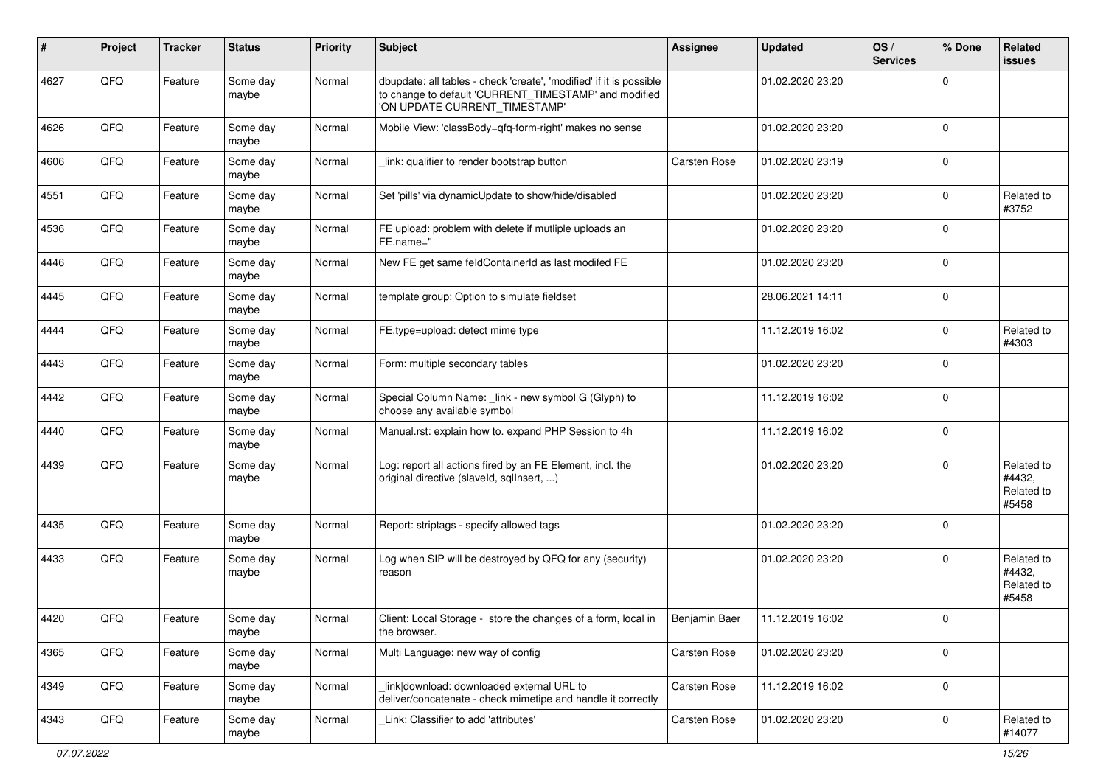| #    | Project | <b>Tracker</b> | <b>Status</b>     | <b>Priority</b> | <b>Subject</b>                                                                                                                                                | <b>Assignee</b>     | <b>Updated</b>   | OS/<br><b>Services</b> | % Done      | Related<br>issues                           |
|------|---------|----------------|-------------------|-----------------|---------------------------------------------------------------------------------------------------------------------------------------------------------------|---------------------|------------------|------------------------|-------------|---------------------------------------------|
| 4627 | QFQ     | Feature        | Some day<br>maybe | Normal          | dbupdate: all tables - check 'create', 'modified' if it is possible<br>to change to default 'CURRENT_TIMESTAMP' and modified<br>'ON UPDATE CURRENT_TIMESTAMP' |                     | 01.02.2020 23:20 |                        | $\Omega$    |                                             |
| 4626 | QFQ     | Feature        | Some day<br>maybe | Normal          | Mobile View: 'classBody=qfq-form-right' makes no sense                                                                                                        |                     | 01.02.2020 23:20 |                        | 0           |                                             |
| 4606 | QFQ     | Feature        | Some day<br>maybe | Normal          | link: qualifier to render bootstrap button                                                                                                                    | <b>Carsten Rose</b> | 01.02.2020 23:19 |                        | 0           |                                             |
| 4551 | QFQ     | Feature        | Some day<br>maybe | Normal          | Set 'pills' via dynamicUpdate to show/hide/disabled                                                                                                           |                     | 01.02.2020 23:20 |                        | $\Omega$    | Related to<br>#3752                         |
| 4536 | QFQ     | Feature        | Some day<br>maybe | Normal          | FE upload: problem with delete if mutliple uploads an<br>FE.name="                                                                                            |                     | 01.02.2020 23:20 |                        | 0           |                                             |
| 4446 | QFQ     | Feature        | Some day<br>maybe | Normal          | New FE get same feldContainerId as last modifed FE                                                                                                            |                     | 01.02.2020 23:20 |                        | 0           |                                             |
| 4445 | QFQ     | Feature        | Some day<br>maybe | Normal          | template group: Option to simulate fieldset                                                                                                                   |                     | 28.06.2021 14:11 |                        | $\Omega$    |                                             |
| 4444 | QFQ     | Feature        | Some day<br>maybe | Normal          | FE.type=upload: detect mime type                                                                                                                              |                     | 11.12.2019 16:02 |                        | $\Omega$    | Related to<br>#4303                         |
| 4443 | QFQ     | Feature        | Some day<br>maybe | Normal          | Form: multiple secondary tables                                                                                                                               |                     | 01.02.2020 23:20 |                        | 0           |                                             |
| 4442 | QFQ     | Feature        | Some day<br>maybe | Normal          | Special Column Name: _link - new symbol G (Glyph) to<br>choose any available symbol                                                                           |                     | 11.12.2019 16:02 |                        | 0           |                                             |
| 4440 | QFQ     | Feature        | Some day<br>maybe | Normal          | Manual.rst: explain how to. expand PHP Session to 4h                                                                                                          |                     | 11.12.2019 16:02 |                        | $\Omega$    |                                             |
| 4439 | QFQ     | Feature        | Some day<br>maybe | Normal          | Log: report all actions fired by an FE Element, incl. the<br>original directive (slaveld, sqlInsert, )                                                        |                     | 01.02.2020 23:20 |                        | $\Omega$    | Related to<br>#4432,<br>Related to<br>#5458 |
| 4435 | QFQ     | Feature        | Some day<br>maybe | Normal          | Report: striptags - specify allowed tags                                                                                                                      |                     | 01.02.2020 23:20 |                        | $\Omega$    |                                             |
| 4433 | QFQ     | Feature        | Some day<br>maybe | Normal          | Log when SIP will be destroyed by QFQ for any (security)<br>reason                                                                                            |                     | 01.02.2020 23:20 |                        | $\Omega$    | Related to<br>#4432,<br>Related to<br>#5458 |
| 4420 | QFQ     | Feature        | Some day<br>maybe | Normal          | Client: Local Storage - store the changes of a form, local in<br>the browser.                                                                                 | Benjamin Baer       | 11.12.2019 16:02 |                        | l 0         |                                             |
| 4365 | QFQ     | Feature        | Some day<br>maybe | Normal          | Multi Language: new way of config                                                                                                                             | Carsten Rose        | 01.02.2020 23:20 |                        | $\mathbf 0$ |                                             |
| 4349 | QFQ     | Feature        | Some day<br>maybe | Normal          | link download: downloaded external URL to<br>deliver/concatenate - check mimetipe and handle it correctly                                                     | Carsten Rose        | 11.12.2019 16:02 |                        | 0           |                                             |
| 4343 | QFQ     | Feature        | Some day<br>maybe | Normal          | Link: Classifier to add 'attributes'                                                                                                                          | Carsten Rose        | 01.02.2020 23:20 |                        | 0           | Related to<br>#14077                        |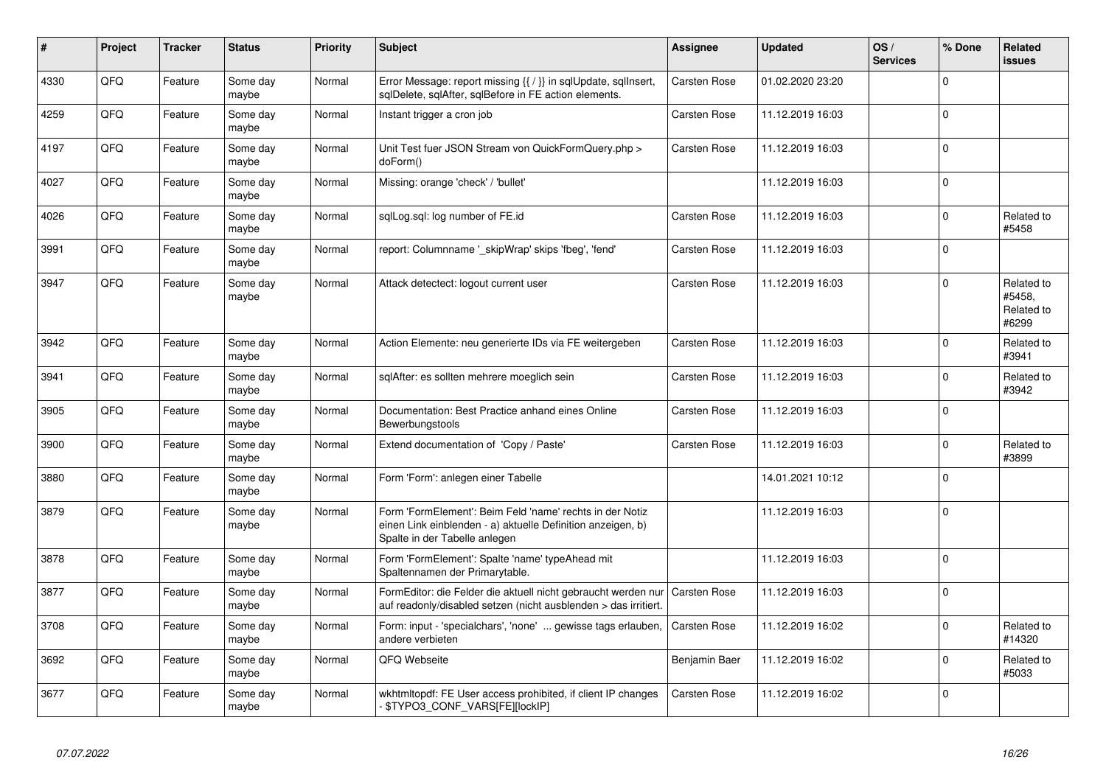| $\pmb{\#}$ | Project | <b>Tracker</b> | <b>Status</b>     | <b>Priority</b> | <b>Subject</b>                                                                                                                                           | <b>Assignee</b>     | <b>Updated</b>   | OS/<br><b>Services</b> | % Done      | <b>Related</b><br><b>issues</b>             |
|------------|---------|----------------|-------------------|-----------------|----------------------------------------------------------------------------------------------------------------------------------------------------------|---------------------|------------------|------------------------|-------------|---------------------------------------------|
| 4330       | QFQ     | Feature        | Some day<br>maybe | Normal          | Error Message: report missing {{ / }} in sqlUpdate, sqlInsert,<br>sqlDelete, sqlAfter, sqlBefore in FE action elements.                                  | <b>Carsten Rose</b> | 01.02.2020 23:20 |                        | $\Omega$    |                                             |
| 4259       | QFQ     | Feature        | Some day<br>maybe | Normal          | Instant trigger a cron job                                                                                                                               | Carsten Rose        | 11.12.2019 16:03 |                        | $\Omega$    |                                             |
| 4197       | QFQ     | Feature        | Some day<br>maybe | Normal          | Unit Test fuer JSON Stream von QuickFormQuery.php ><br>doForm()                                                                                          | Carsten Rose        | 11.12.2019 16:03 |                        | $\Omega$    |                                             |
| 4027       | QFQ     | Feature        | Some day<br>maybe | Normal          | Missing: orange 'check' / 'bullet'                                                                                                                       |                     | 11.12.2019 16:03 |                        | $\Omega$    |                                             |
| 4026       | QFQ     | Feature        | Some day<br>maybe | Normal          | sqlLog.sql: log number of FE.id                                                                                                                          | Carsten Rose        | 11.12.2019 16:03 |                        | $\Omega$    | Related to<br>#5458                         |
| 3991       | QFQ     | Feature        | Some day<br>maybe | Normal          | report: Columnname '_skipWrap' skips 'fbeg', 'fend'                                                                                                      | Carsten Rose        | 11.12.2019 16:03 |                        | $\Omega$    |                                             |
| 3947       | QFQ     | Feature        | Some day<br>maybe | Normal          | Attack detectect: logout current user                                                                                                                    | Carsten Rose        | 11.12.2019 16:03 |                        | $\Omega$    | Related to<br>#5458.<br>Related to<br>#6299 |
| 3942       | QFQ     | Feature        | Some day<br>maybe | Normal          | Action Elemente: neu generierte IDs via FE weitergeben                                                                                                   | Carsten Rose        | 11.12.2019 16:03 |                        | $\Omega$    | Related to<br>#3941                         |
| 3941       | QFQ     | Feature        | Some day<br>maybe | Normal          | sqlAfter: es sollten mehrere moeglich sein                                                                                                               | Carsten Rose        | 11.12.2019 16:03 |                        | $\Omega$    | Related to<br>#3942                         |
| 3905       | QFQ     | Feature        | Some day<br>maybe | Normal          | Documentation: Best Practice anhand eines Online<br>Bewerbungstools                                                                                      | Carsten Rose        | 11.12.2019 16:03 |                        | $\Omega$    |                                             |
| 3900       | QFQ     | Feature        | Some day<br>maybe | Normal          | Extend documentation of 'Copy / Paste'                                                                                                                   | Carsten Rose        | 11.12.2019 16:03 |                        | $\Omega$    | Related to<br>#3899                         |
| 3880       | QFQ     | Feature        | Some day<br>maybe | Normal          | Form 'Form': anlegen einer Tabelle                                                                                                                       |                     | 14.01.2021 10:12 |                        | $\mathbf 0$ |                                             |
| 3879       | QFQ     | Feature        | Some day<br>maybe | Normal          | Form 'FormElement': Beim Feld 'name' rechts in der Notiz<br>einen Link einblenden - a) aktuelle Definition anzeigen, b)<br>Spalte in der Tabelle anlegen |                     | 11.12.2019 16:03 |                        | $\Omega$    |                                             |
| 3878       | QFQ     | Feature        | Some day<br>maybe | Normal          | Form 'FormElement': Spalte 'name' typeAhead mit<br>Spaltennamen der Primarytable.                                                                        |                     | 11.12.2019 16:03 |                        | $\Omega$    |                                             |
| 3877       | QFQ     | Feature        | Some day<br>maybe | Normal          | FormEditor: die Felder die aktuell nicht gebraucht werden nur<br>auf readonly/disabled setzen (nicht ausblenden > das irritiert.                         | <b>Carsten Rose</b> | 11.12.2019 16:03 |                        | $\Omega$    |                                             |
| 3708       | QFQ     | Feature        | Some day<br>maybe | Normal          | Form: input - 'specialchars', 'none'  gewisse tags erlauben,<br>andere verbieten                                                                         | <b>Carsten Rose</b> | 11.12.2019 16:02 |                        | $\Omega$    | Related to<br>#14320                        |
| 3692       | QFQ     | Feature        | Some day<br>maybe | Normal          | QFQ Webseite                                                                                                                                             | Benjamin Baer       | 11.12.2019 16:02 |                        | $\Omega$    | Related to<br>#5033                         |
| 3677       | QFQ     | Feature        | Some day<br>maybe | Normal          | wkhtmltopdf: FE User access prohibited, if client IP changes<br>- \$TYPO3_CONF_VARS[FE][lockIP]                                                          | <b>Carsten Rose</b> | 11.12.2019 16:02 |                        | $\Omega$    |                                             |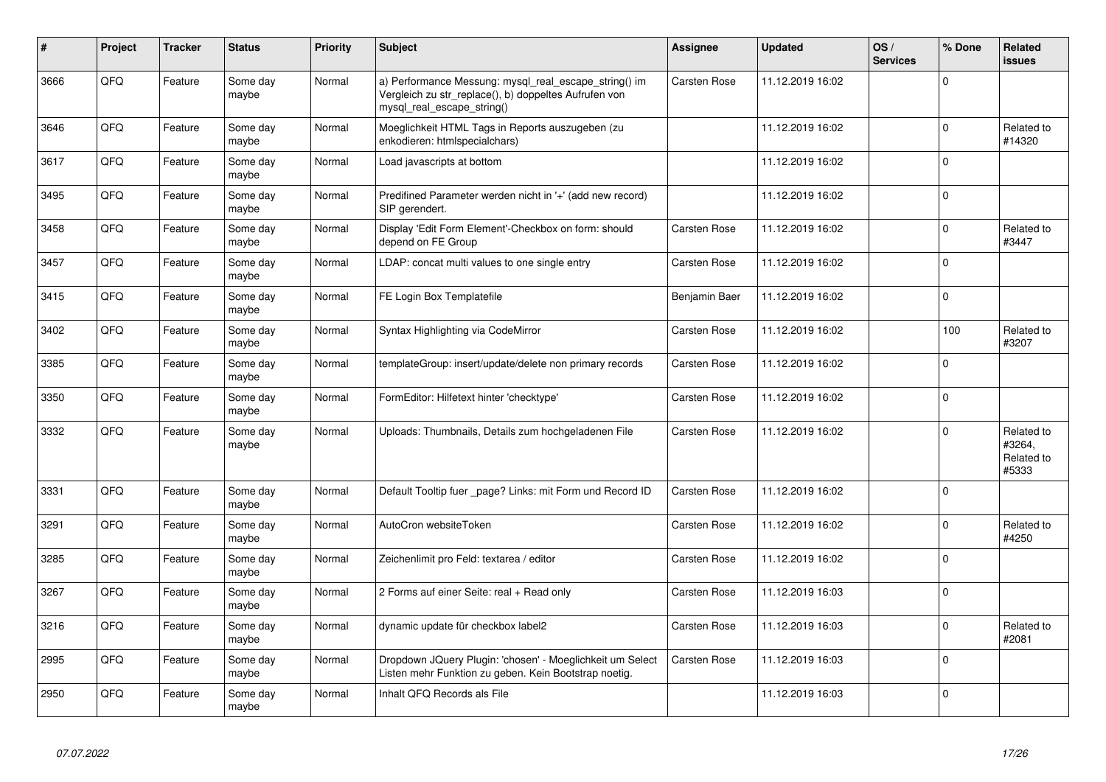| #    | Project | <b>Tracker</b> | <b>Status</b>     | <b>Priority</b> | <b>Subject</b>                                                                                                                               | Assignee            | <b>Updated</b>   | OS/<br><b>Services</b> | % Done         | Related<br><b>issues</b>                    |
|------|---------|----------------|-------------------|-----------------|----------------------------------------------------------------------------------------------------------------------------------------------|---------------------|------------------|------------------------|----------------|---------------------------------------------|
| 3666 | QFQ     | Feature        | Some day<br>maybe | Normal          | a) Performance Messung: mysql_real_escape_string() im<br>Vergleich zu str_replace(), b) doppeltes Aufrufen von<br>mysql real escape string() | <b>Carsten Rose</b> | 11.12.2019 16:02 |                        | $\Omega$       |                                             |
| 3646 | QFQ     | Feature        | Some day<br>maybe | Normal          | Moeglichkeit HTML Tags in Reports auszugeben (zu<br>enkodieren: htmlspecialchars)                                                            |                     | 11.12.2019 16:02 |                        | $\Omega$       | Related to<br>#14320                        |
| 3617 | QFQ     | Feature        | Some day<br>maybe | Normal          | Load javascripts at bottom                                                                                                                   |                     | 11.12.2019 16:02 |                        | $\Omega$       |                                             |
| 3495 | QFQ     | Feature        | Some day<br>maybe | Normal          | Predifined Parameter werden nicht in '+' (add new record)<br>SIP gerendert.                                                                  |                     | 11.12.2019 16:02 |                        | $\Omega$       |                                             |
| 3458 | QFQ     | Feature        | Some day<br>maybe | Normal          | Display 'Edit Form Element'-Checkbox on form: should<br>depend on FE Group                                                                   | Carsten Rose        | 11.12.2019 16:02 |                        | $\Omega$       | Related to<br>#3447                         |
| 3457 | QFQ     | Feature        | Some day<br>maybe | Normal          | LDAP: concat multi values to one single entry                                                                                                | <b>Carsten Rose</b> | 11.12.2019 16:02 |                        | $\overline{0}$ |                                             |
| 3415 | QFQ     | Feature        | Some day<br>maybe | Normal          | FE Login Box Templatefile                                                                                                                    | Benjamin Baer       | 11.12.2019 16:02 |                        | $\Omega$       |                                             |
| 3402 | QFQ     | Feature        | Some day<br>maybe | Normal          | Syntax Highlighting via CodeMirror                                                                                                           | Carsten Rose        | 11.12.2019 16:02 |                        | 100            | Related to<br>#3207                         |
| 3385 | QFQ     | Feature        | Some day<br>maybe | Normal          | templateGroup: insert/update/delete non primary records                                                                                      | Carsten Rose        | 11.12.2019 16:02 |                        | $\mathbf 0$    |                                             |
| 3350 | QFQ     | Feature        | Some day<br>maybe | Normal          | FormEditor: Hilfetext hinter 'checktype'                                                                                                     | <b>Carsten Rose</b> | 11.12.2019 16:02 |                        | $\Omega$       |                                             |
| 3332 | QFQ     | Feature        | Some day<br>maybe | Normal          | Uploads: Thumbnails, Details zum hochgeladenen File                                                                                          | <b>Carsten Rose</b> | 11.12.2019 16:02 |                        | $\Omega$       | Related to<br>#3264,<br>Related to<br>#5333 |
| 3331 | QFQ     | Feature        | Some day<br>maybe | Normal          | Default Tooltip fuer _page? Links: mit Form und Record ID                                                                                    | <b>Carsten Rose</b> | 11.12.2019 16:02 |                        | $\overline{0}$ |                                             |
| 3291 | QFQ     | Feature        | Some day<br>maybe | Normal          | AutoCron websiteToken                                                                                                                        | <b>Carsten Rose</b> | 11.12.2019 16:02 |                        | $\Omega$       | Related to<br>#4250                         |
| 3285 | QFQ     | Feature        | Some day<br>maybe | Normal          | Zeichenlimit pro Feld: textarea / editor                                                                                                     | Carsten Rose        | 11.12.2019 16:02 |                        | $\Omega$       |                                             |
| 3267 | QFQ     | Feature        | Some day<br>maybe | Normal          | 2 Forms auf einer Seite: real + Read only                                                                                                    | Carsten Rose        | 11.12.2019 16:03 |                        | $\Omega$       |                                             |
| 3216 | QFQ     | Feature        | Some day<br>maybe | Normal          | dynamic update für checkbox label2                                                                                                           | <b>Carsten Rose</b> | 11.12.2019 16:03 |                        | $\Omega$       | Related to<br>#2081                         |
| 2995 | QFQ     | Feature        | Some day<br>maybe | Normal          | Dropdown JQuery Plugin: 'chosen' - Moeglichkeit um Select<br>Listen mehr Funktion zu geben. Kein Bootstrap noetig.                           | <b>Carsten Rose</b> | 11.12.2019 16:03 |                        | $\Omega$       |                                             |
| 2950 | QFQ     | Feature        | Some day<br>maybe | Normal          | Inhalt QFQ Records als File                                                                                                                  |                     | 11.12.2019 16:03 |                        | $\overline{0}$ |                                             |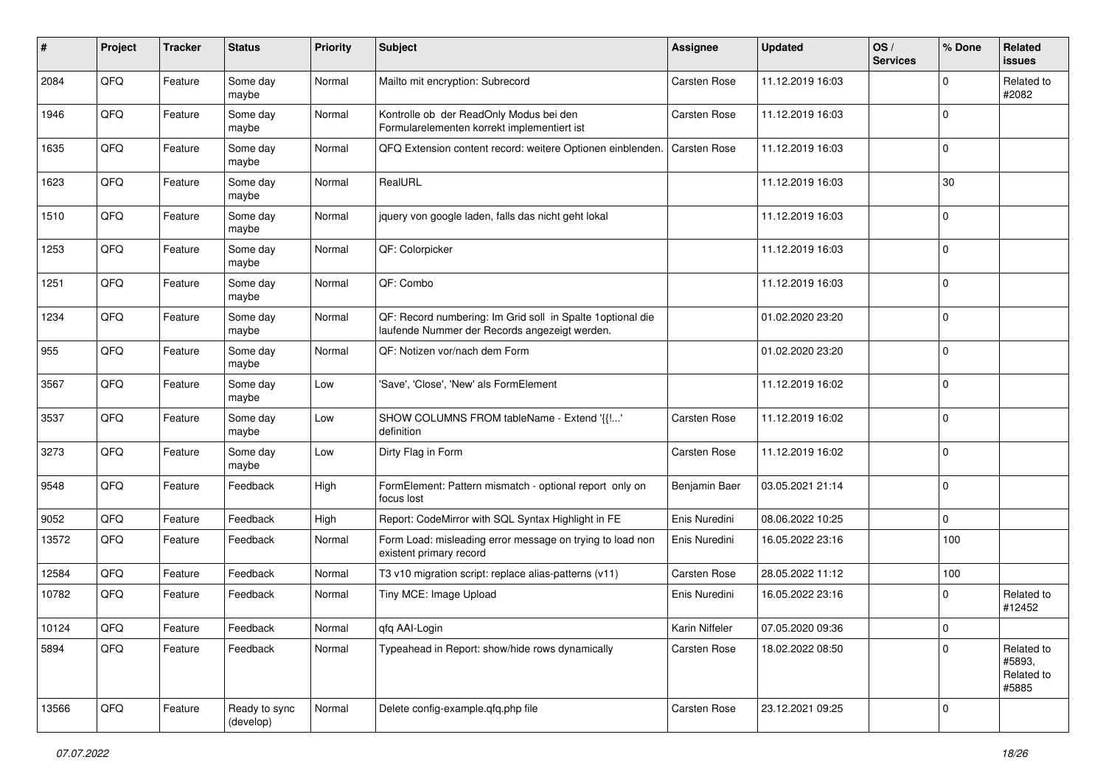| #     | Project | <b>Tracker</b> | <b>Status</b>              | <b>Priority</b> | <b>Subject</b>                                                                                               | <b>Assignee</b>     | <b>Updated</b>   | OS/<br><b>Services</b> | % Done      | Related<br>issues                           |
|-------|---------|----------------|----------------------------|-----------------|--------------------------------------------------------------------------------------------------------------|---------------------|------------------|------------------------|-------------|---------------------------------------------|
| 2084  | QFQ     | Feature        | Some day<br>maybe          | Normal          | Mailto mit encryption: Subrecord                                                                             | <b>Carsten Rose</b> | 11.12.2019 16:03 |                        | $\Omega$    | Related to<br>#2082                         |
| 1946  | QFQ     | Feature        | Some day<br>maybe          | Normal          | Kontrolle ob der ReadOnly Modus bei den<br>Formularelementen korrekt implementiert ist                       | <b>Carsten Rose</b> | 11.12.2019 16:03 |                        | $\Omega$    |                                             |
| 1635  | QFQ     | Feature        | Some day<br>maybe          | Normal          | QFQ Extension content record: weitere Optionen einblenden.                                                   | <b>Carsten Rose</b> | 11.12.2019 16:03 |                        | $\Omega$    |                                             |
| 1623  | QFQ     | Feature        | Some day<br>maybe          | Normal          | RealURL                                                                                                      |                     | 11.12.2019 16:03 |                        | 30          |                                             |
| 1510  | QFQ     | Feature        | Some day<br>maybe          | Normal          | jquery von google laden, falls das nicht geht lokal                                                          |                     | 11.12.2019 16:03 |                        | $\mathbf 0$ |                                             |
| 1253  | QFQ     | Feature        | Some day<br>maybe          | Normal          | QF: Colorpicker                                                                                              |                     | 11.12.2019 16:03 |                        | $\Omega$    |                                             |
| 1251  | QFQ     | Feature        | Some day<br>maybe          | Normal          | QF: Combo                                                                                                    |                     | 11.12.2019 16:03 |                        | $\mathbf 0$ |                                             |
| 1234  | QFQ     | Feature        | Some day<br>maybe          | Normal          | QF: Record numbering: Im Grid soll in Spalte 1 optional die<br>laufende Nummer der Records angezeigt werden. |                     | 01.02.2020 23:20 |                        | l 0         |                                             |
| 955   | QFQ     | Feature        | Some day<br>maybe          | Normal          | QF: Notizen vor/nach dem Form                                                                                |                     | 01.02.2020 23:20 |                        | l 0         |                                             |
| 3567  | QFQ     | Feature        | Some day<br>maybe          | Low             | 'Save', 'Close', 'New' als FormElement                                                                       |                     | 11.12.2019 16:02 |                        | $\Omega$    |                                             |
| 3537  | QFQ     | Feature        | Some day<br>maybe          | Low             | SHOW COLUMNS FROM tableName - Extend '{{!'<br>definition                                                     | <b>Carsten Rose</b> | 11.12.2019 16:02 |                        | $\mathbf 0$ |                                             |
| 3273  | QFQ     | Feature        | Some day<br>maybe          | Low             | Dirty Flag in Form                                                                                           | <b>Carsten Rose</b> | 11.12.2019 16:02 |                        | $\mathbf 0$ |                                             |
| 9548  | QFQ     | Feature        | Feedback                   | High            | FormElement: Pattern mismatch - optional report only on<br>focus lost                                        | Benjamin Baer       | 03.05.2021 21:14 |                        | $\Omega$    |                                             |
| 9052  | QFQ     | Feature        | Feedback                   | High            | Report: CodeMirror with SQL Syntax Highlight in FE                                                           | Enis Nuredini       | 08.06.2022 10:25 |                        | $\mathbf 0$ |                                             |
| 13572 | QFQ     | Feature        | Feedback                   | Normal          | Form Load: misleading error message on trying to load non<br>existent primary record                         | Enis Nuredini       | 16.05.2022 23:16 |                        | 100         |                                             |
| 12584 | QFQ     | Feature        | Feedback                   | Normal          | T3 v10 migration script: replace alias-patterns (v11)                                                        | <b>Carsten Rose</b> | 28.05.2022 11:12 |                        | 100         |                                             |
| 10782 | QFQ     | Feature        | Feedback                   | Normal          | Tiny MCE: Image Upload                                                                                       | Enis Nuredini       | 16.05.2022 23:16 |                        | $\mathbf 0$ | Related to<br>#12452                        |
| 10124 | QFQ     | Feature        | Feedback                   | Normal          | qfq AAI-Login                                                                                                | Karin Niffeler      | 07.05.2020 09:36 |                        | O           |                                             |
| 5894  | QFQ     | Feature        | Feedback                   | Normal          | Typeahead in Report: show/hide rows dynamically                                                              | Carsten Rose        | 18.02.2022 08:50 |                        | $\Omega$    | Related to<br>#5893,<br>Related to<br>#5885 |
| 13566 | QFQ     | Feature        | Ready to sync<br>(develop) | Normal          | Delete config-example.qfq.php file                                                                           | Carsten Rose        | 23.12.2021 09:25 |                        | 0           |                                             |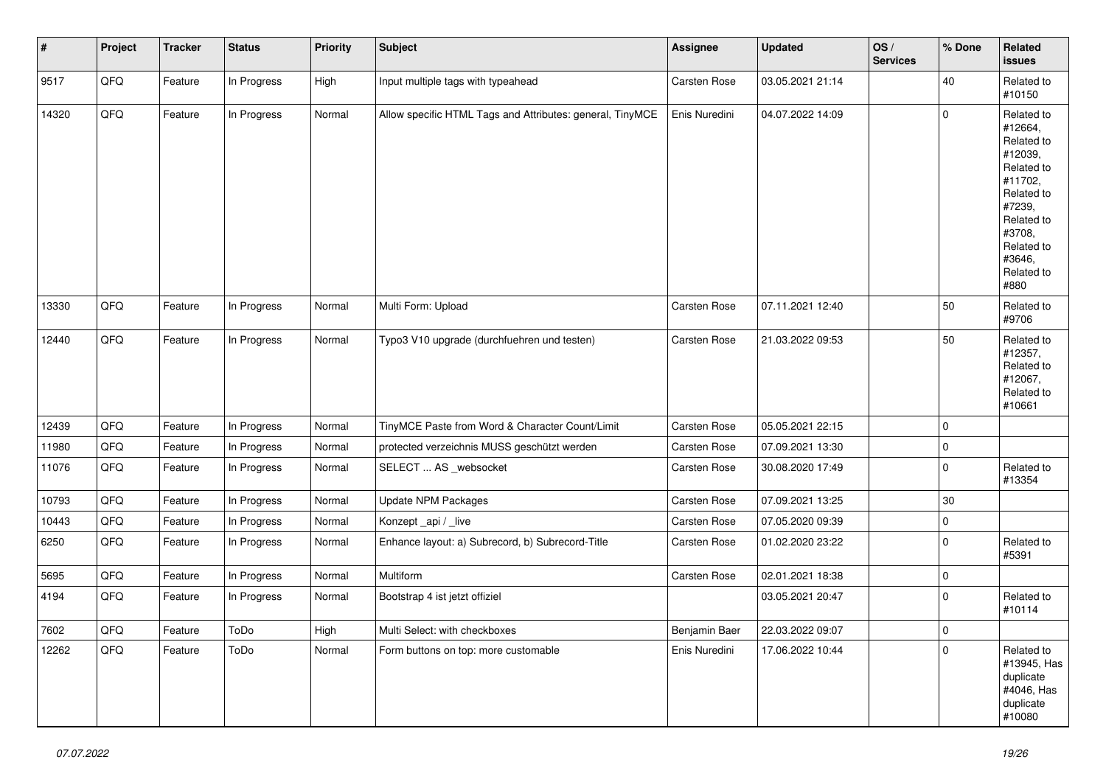| #     | Project | <b>Tracker</b> | <b>Status</b> | <b>Priority</b> | <b>Subject</b>                                            | Assignee      | <b>Updated</b>   | OS/<br><b>Services</b> | % Done              | Related<br><b>issues</b>                                                                                                                                              |
|-------|---------|----------------|---------------|-----------------|-----------------------------------------------------------|---------------|------------------|------------------------|---------------------|-----------------------------------------------------------------------------------------------------------------------------------------------------------------------|
| 9517  | QFG     | Feature        | In Progress   | High            | Input multiple tags with typeahead                        | Carsten Rose  | 03.05.2021 21:14 |                        | 40                  | Related to<br>#10150                                                                                                                                                  |
| 14320 | QFQ     | Feature        | In Progress   | Normal          | Allow specific HTML Tags and Attributes: general, TinyMCE | Enis Nuredini | 04.07.2022 14:09 |                        | $\pmb{0}$           | Related to<br>#12664,<br>Related to<br>#12039,<br>Related to<br>#11702,<br>Related to<br>#7239,<br>Related to<br>#3708,<br>Related to<br>#3646,<br>Related to<br>#880 |
| 13330 | QFQ     | Feature        | In Progress   | Normal          | Multi Form: Upload                                        | Carsten Rose  | 07.11.2021 12:40 |                        | 50                  | Related to<br>#9706                                                                                                                                                   |
| 12440 | QFG     | Feature        | In Progress   | Normal          | Typo3 V10 upgrade (durchfuehren und testen)               | Carsten Rose  | 21.03.2022 09:53 |                        | 50                  | Related to<br>#12357,<br>Related to<br>#12067,<br>Related to<br>#10661                                                                                                |
| 12439 | QFQ     | Feature        | In Progress   | Normal          | TinyMCE Paste from Word & Character Count/Limit           | Carsten Rose  | 05.05.2021 22:15 |                        | $\mathbf 0$         |                                                                                                                                                                       |
| 11980 | QFG     | Feature        | In Progress   | Normal          | protected verzeichnis MUSS geschützt werden               | Carsten Rose  | 07.09.2021 13:30 |                        | $\pmb{0}$           |                                                                                                                                                                       |
| 11076 | QFQ     | Feature        | In Progress   | Normal          | SELECT  AS _websocket                                     | Carsten Rose  | 30.08.2020 17:49 |                        | $\pmb{0}$           | Related to<br>#13354                                                                                                                                                  |
| 10793 | QFQ     | Feature        | In Progress   | Normal          | <b>Update NPM Packages</b>                                | Carsten Rose  | 07.09.2021 13:25 |                        | $30\,$              |                                                                                                                                                                       |
| 10443 | QFQ     | Feature        | In Progress   | Normal          | Konzept_api / _live                                       | Carsten Rose  | 07.05.2020 09:39 |                        | $\mathbf 0$         |                                                                                                                                                                       |
| 6250  | QFQ     | Feature        | In Progress   | Normal          | Enhance layout: a) Subrecord, b) Subrecord-Title          | Carsten Rose  | 01.02.2020 23:22 |                        | $\mathbf 0$         | Related to<br>#5391                                                                                                                                                   |
| 5695  | QFQ     | Feature        | In Progress   | Normal          | Multiform                                                 | Carsten Rose  | 02.01.2021 18:38 |                        | $\mathsf{O}\xspace$ |                                                                                                                                                                       |
| 4194  | QFQ     | Feature        | In Progress   | Normal          | Bootstrap 4 ist jetzt offiziel                            |               | 03.05.2021 20:47 |                        | $\pmb{0}$           | Related to<br>#10114                                                                                                                                                  |
| 7602  | QFQ     | Feature        | ToDo          | High            | Multi Select: with checkboxes                             | Benjamin Baer | 22.03.2022 09:07 |                        | $\pmb{0}$           |                                                                                                                                                                       |
| 12262 | QFQ     | Feature        | ToDo          | Normal          | Form buttons on top: more customable                      | Enis Nuredini | 17.06.2022 10:44 |                        | $\mathbf 0$         | Related to<br>#13945, Has<br>duplicate<br>#4046, Has<br>duplicate<br>#10080                                                                                           |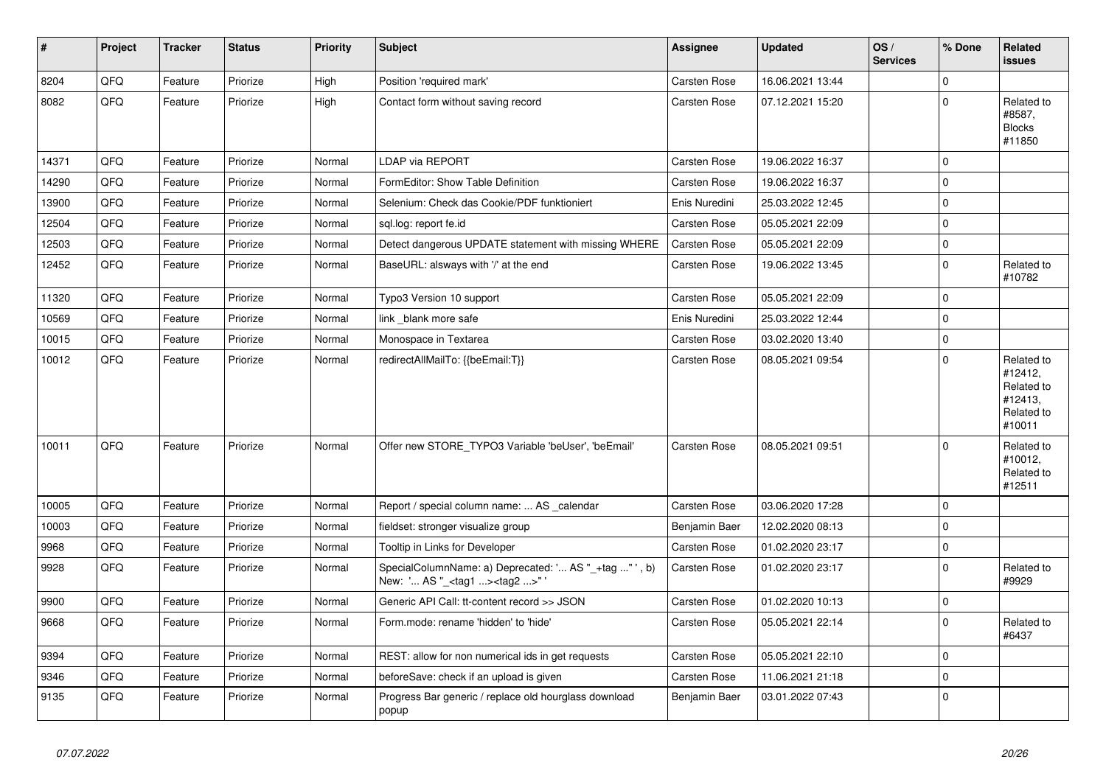| $\vert$ # | Project | <b>Tracker</b> | <b>Status</b> | <b>Priority</b> | <b>Subject</b>                                                                                     | Assignee            | <b>Updated</b>   | OS/<br><b>Services</b> | % Done      | <b>Related</b><br><b>issues</b>                                        |
|-----------|---------|----------------|---------------|-----------------|----------------------------------------------------------------------------------------------------|---------------------|------------------|------------------------|-------------|------------------------------------------------------------------------|
| 8204      | QFQ     | Feature        | Priorize      | High            | Position 'required mark'                                                                           | <b>Carsten Rose</b> | 16.06.2021 13:44 |                        | $\mathbf 0$ |                                                                        |
| 8082      | QFQ     | Feature        | Priorize      | High            | Contact form without saving record                                                                 | <b>Carsten Rose</b> | 07.12.2021 15:20 |                        | $\mathbf 0$ | Related to<br>#8587,<br><b>Blocks</b><br>#11850                        |
| 14371     | QFQ     | Feature        | Priorize      | Normal          | <b>LDAP via REPORT</b>                                                                             | <b>Carsten Rose</b> | 19.06.2022 16:37 |                        | $\mathbf 0$ |                                                                        |
| 14290     | QFQ     | Feature        | Priorize      | Normal          | FormEditor: Show Table Definition                                                                  | <b>Carsten Rose</b> | 19.06.2022 16:37 |                        | $\mathbf 0$ |                                                                        |
| 13900     | QFQ     | Feature        | Priorize      | Normal          | Selenium: Check das Cookie/PDF funktioniert                                                        | Enis Nuredini       | 25.03.2022 12:45 |                        | $\pmb{0}$   |                                                                        |
| 12504     | QFQ     | Feature        | Priorize      | Normal          | sql.log: report fe.id                                                                              | Carsten Rose        | 05.05.2021 22:09 |                        | $\mathbf 0$ |                                                                        |
| 12503     | QFQ     | Feature        | Priorize      | Normal          | Detect dangerous UPDATE statement with missing WHERE                                               | <b>Carsten Rose</b> | 05.05.2021 22:09 |                        | $\mathbf 0$ |                                                                        |
| 12452     | QFQ     | Feature        | Priorize      | Normal          | BaseURL: alsways with '/' at the end                                                               | Carsten Rose        | 19.06.2022 13:45 |                        | $\mathbf 0$ | Related to<br>#10782                                                   |
| 11320     | QFQ     | Feature        | Priorize      | Normal          | Typo3 Version 10 support                                                                           | Carsten Rose        | 05.05.2021 22:09 |                        | $\mathbf 0$ |                                                                        |
| 10569     | QFQ     | Feature        | Priorize      | Normal          | link blank more safe                                                                               | Enis Nuredini       | 25.03.2022 12:44 |                        | $\pmb{0}$   |                                                                        |
| 10015     | QFQ     | Feature        | Priorize      | Normal          | Monospace in Textarea                                                                              | Carsten Rose        | 03.02.2020 13:40 |                        | $\mathbf 0$ |                                                                        |
| 10012     | QFQ     | Feature        | Priorize      | Normal          | redirectAllMailTo: {{beEmail:T}}                                                                   | <b>Carsten Rose</b> | 08.05.2021 09:54 |                        | $\mathbf 0$ | Related to<br>#12412,<br>Related to<br>#12413,<br>Related to<br>#10011 |
| 10011     | QFQ     | Feature        | Priorize      | Normal          | Offer new STORE_TYPO3 Variable 'beUser', 'beEmail'                                                 | Carsten Rose        | 08.05.2021 09:51 |                        | $\mathbf 0$ | Related to<br>#10012,<br>Related to<br>#12511                          |
| 10005     | QFQ     | Feature        | Priorize      | Normal          | Report / special column name:  AS calendar                                                         | Carsten Rose        | 03.06.2020 17:28 |                        | $\mathbf 0$ |                                                                        |
| 10003     | QFQ     | Feature        | Priorize      | Normal          | fieldset: stronger visualize group                                                                 | Benjamin Baer       | 12.02.2020 08:13 |                        | $\Omega$    |                                                                        |
| 9968      | QFQ     | Feature        | Priorize      | Normal          | Tooltip in Links for Developer                                                                     | <b>Carsten Rose</b> | 01.02.2020 23:17 |                        | $\mathbf 0$ |                                                                        |
| 9928      | QFQ     | Feature        | Priorize      | Normal          | SpecialColumnName: a) Deprecated: ' AS "_+tag " ', b)<br>New: ' AS "_ <tag1><tag2>"'</tag2></tag1> | <b>Carsten Rose</b> | 01.02.2020 23:17 |                        | $\mathbf 0$ | Related to<br>#9929                                                    |
| 9900      | QFQ     | Feature        | Priorize      | Normal          | Generic API Call: tt-content record >> JSON                                                        | <b>Carsten Rose</b> | 01.02.2020 10:13 |                        | $\pmb{0}$   |                                                                        |
| 9668      | QFQ     | Feature        | Priorize      | Normal          | Form.mode: rename 'hidden' to 'hide'                                                               | Carsten Rose        | 05.05.2021 22:14 |                        | $\pmb{0}$   | Related to<br>#6437                                                    |
| 9394      | QFQ     | Feature        | Priorize      | Normal          | REST: allow for non numerical ids in get requests                                                  | Carsten Rose        | 05.05.2021 22:10 |                        | $\mathbf 0$ |                                                                        |
| 9346      | QFQ     | Feature        | Priorize      | Normal          | beforeSave: check if an upload is given                                                            | Carsten Rose        | 11.06.2021 21:18 |                        | $\pmb{0}$   |                                                                        |
| 9135      | QFQ     | Feature        | Priorize      | Normal          | Progress Bar generic / replace old hourglass download<br>popup                                     | Benjamin Baer       | 03.01.2022 07:43 |                        | $\mathbf 0$ |                                                                        |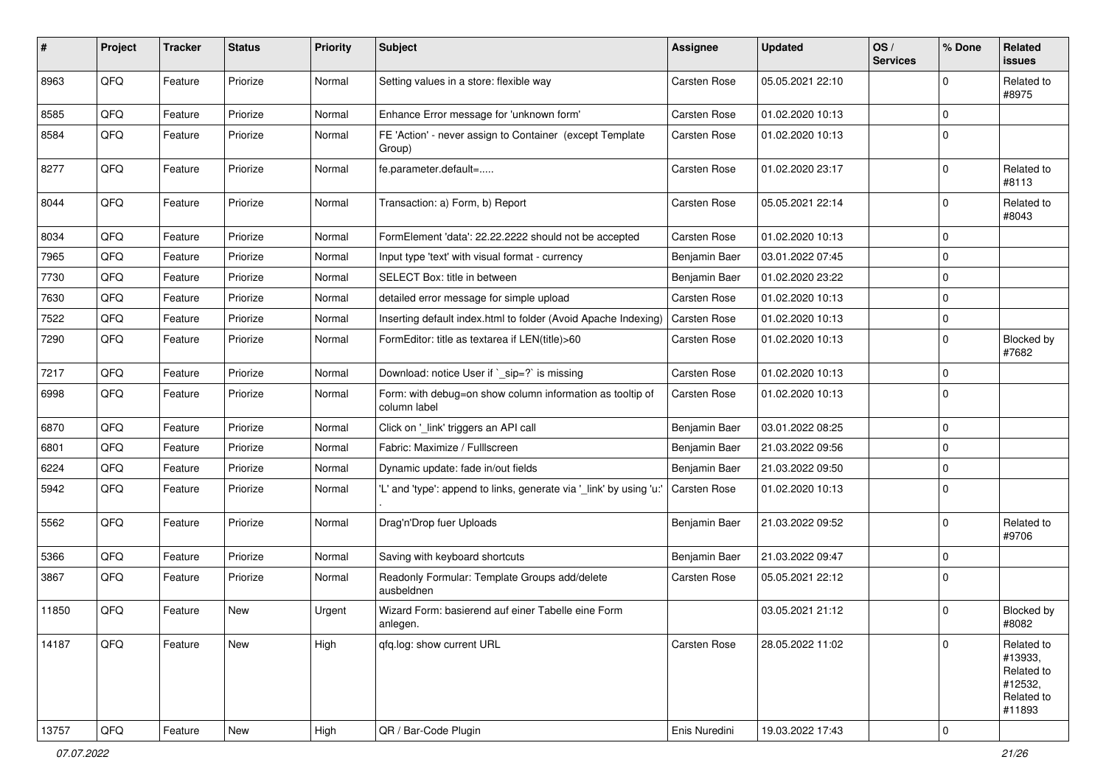| #     | Project | <b>Tracker</b> | <b>Status</b> | <b>Priority</b> | <b>Subject</b>                                                            | <b>Assignee</b>     | <b>Updated</b>   | OS/<br><b>Services</b> | % Done      | Related<br><b>issues</b>                                               |
|-------|---------|----------------|---------------|-----------------|---------------------------------------------------------------------------|---------------------|------------------|------------------------|-------------|------------------------------------------------------------------------|
| 8963  | QFQ     | Feature        | Priorize      | Normal          | Setting values in a store: flexible way                                   | Carsten Rose        | 05.05.2021 22:10 |                        | 0           | Related to<br>#8975                                                    |
| 8585  | QFQ     | Feature        | Priorize      | Normal          | Enhance Error message for 'unknown form'                                  | Carsten Rose        | 01.02.2020 10:13 |                        | $\mathbf 0$ |                                                                        |
| 8584  | QFQ     | Feature        | Priorize      | Normal          | FE 'Action' - never assign to Container (except Template<br>Group)        | Carsten Rose        | 01.02.2020 10:13 |                        | $\mathbf 0$ |                                                                        |
| 8277  | QFQ     | Feature        | Priorize      | Normal          | fe.parameter.default=                                                     | <b>Carsten Rose</b> | 01.02.2020 23:17 |                        | $\Omega$    | Related to<br>#8113                                                    |
| 8044  | QFQ     | Feature        | Priorize      | Normal          | Transaction: a) Form, b) Report                                           | Carsten Rose        | 05.05.2021 22:14 |                        | $\Omega$    | Related to<br>#8043                                                    |
| 8034  | QFQ     | Feature        | Priorize      | Normal          | FormElement 'data': 22.22.2222 should not be accepted                     | Carsten Rose        | 01.02.2020 10:13 |                        | $\Omega$    |                                                                        |
| 7965  | QFQ     | Feature        | Priorize      | Normal          | Input type 'text' with visual format - currency                           | Benjamin Baer       | 03.01.2022 07:45 |                        | $\mathbf 0$ |                                                                        |
| 7730  | QFQ     | Feature        | Priorize      | Normal          | SELECT Box: title in between                                              | Benjamin Baer       | 01.02.2020 23:22 |                        | 0           |                                                                        |
| 7630  | QFQ     | Feature        | Priorize      | Normal          | detailed error message for simple upload                                  | Carsten Rose        | 01.02.2020 10:13 |                        | 0           |                                                                        |
| 7522  | QFQ     | Feature        | Priorize      | Normal          | Inserting default index.html to folder (Avoid Apache Indexing)            | <b>Carsten Rose</b> | 01.02.2020 10:13 |                        | 0           |                                                                        |
| 7290  | QFQ     | Feature        | Priorize      | Normal          | FormEditor: title as textarea if LEN(title)>60                            | Carsten Rose        | 01.02.2020 10:13 |                        | 0           | Blocked by<br>#7682                                                    |
| 7217  | QFQ     | Feature        | Priorize      | Normal          | Download: notice User if `_sip=?` is missing                              | Carsten Rose        | 01.02.2020 10:13 |                        | $\mathbf 0$ |                                                                        |
| 6998  | QFQ     | Feature        | Priorize      | Normal          | Form: with debug=on show column information as tooltip of<br>column label | Carsten Rose        | 01.02.2020 10:13 |                        | $\Omega$    |                                                                        |
| 6870  | QFQ     | Feature        | Priorize      | Normal          | Click on '_link' triggers an API call                                     | Benjamin Baer       | 03.01.2022 08:25 |                        | $\mathbf 0$ |                                                                        |
| 6801  | QFQ     | Feature        | Priorize      | Normal          | Fabric: Maximize / FullIscreen                                            | Benjamin Baer       | 21.03.2022 09:56 |                        | 0           |                                                                        |
| 6224  | QFQ     | Feature        | Priorize      | Normal          | Dynamic update: fade in/out fields                                        | Benjamin Baer       | 21.03.2022 09:50 |                        | $\Omega$    |                                                                        |
| 5942  | QFQ     | Feature        | Priorize      | Normal          | 'L' and 'type': append to links, generate via '_link' by using 'u:'       | <b>Carsten Rose</b> | 01.02.2020 10:13 |                        | $\mathbf 0$ |                                                                        |
| 5562  | QFQ     | Feature        | Priorize      | Normal          | Drag'n'Drop fuer Uploads                                                  | Benjamin Baer       | 21.03.2022 09:52 |                        | $\Omega$    | Related to<br>#9706                                                    |
| 5366  | QFQ     | Feature        | Priorize      | Normal          | Saving with keyboard shortcuts                                            | Benjamin Baer       | 21.03.2022 09:47 |                        | $\mathbf 0$ |                                                                        |
| 3867  | QFQ     | Feature        | Priorize      | Normal          | Readonly Formular: Template Groups add/delete<br>ausbeldnen               | Carsten Rose        | 05.05.2021 22:12 |                        | $\Omega$    |                                                                        |
| 11850 | QFQ     | Feature        | New           | Urgent          | Wizard Form: basierend auf einer Tabelle eine Form<br>anlegen.            |                     | 03.05.2021 21:12 |                        | $\Omega$    | Blocked by<br>#8082                                                    |
| 14187 | QFQ     | Feature        | New           | High            | qfq.log: show current URL                                                 | <b>Carsten Rose</b> | 28.05.2022 11:02 |                        | $\Omega$    | Related to<br>#13933,<br>Related to<br>#12532,<br>Related to<br>#11893 |
| 13757 | QFQ     | Feature        | New           | High            | QR / Bar-Code Plugin                                                      | Enis Nuredini       | 19.03.2022 17:43 |                        | $\mathbf 0$ |                                                                        |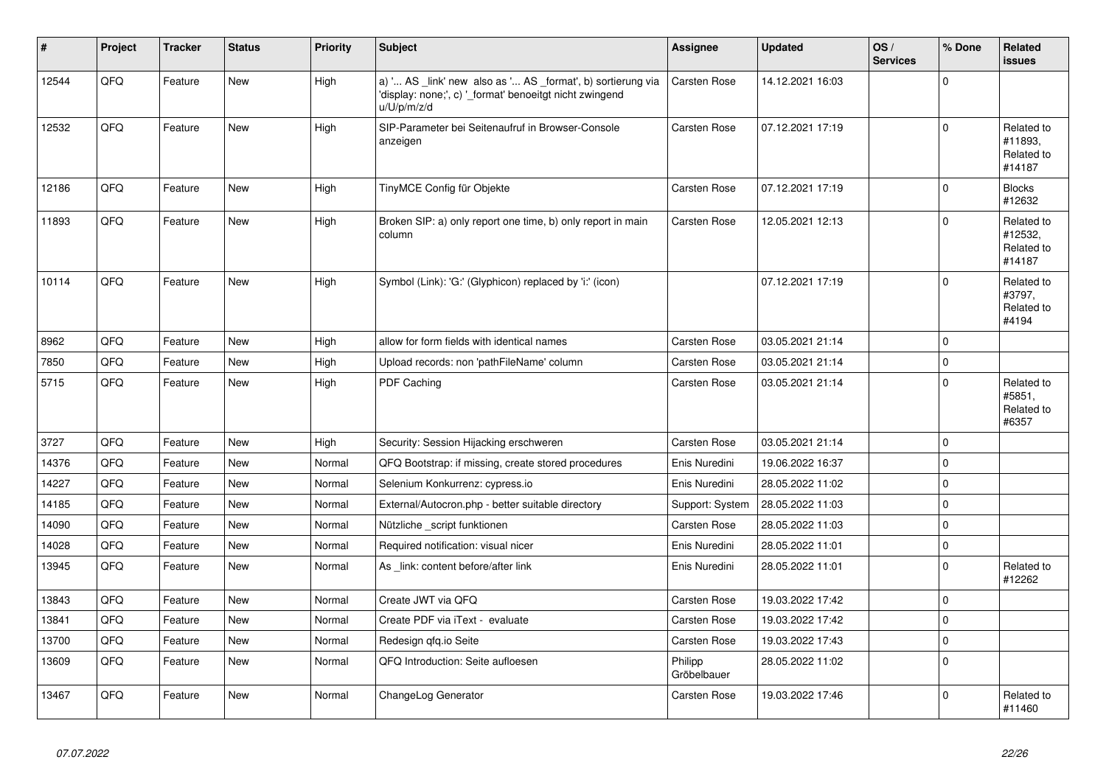| #     | Project | <b>Tracker</b> | <b>Status</b> | <b>Priority</b> | <b>Subject</b>                                                                                                                        | Assignee               | <b>Updated</b>   | OS/<br><b>Services</b> | % Done      | Related<br><b>issues</b>                      |
|-------|---------|----------------|---------------|-----------------|---------------------------------------------------------------------------------------------------------------------------------------|------------------------|------------------|------------------------|-------------|-----------------------------------------------|
| 12544 | QFQ     | Feature        | <b>New</b>    | High            | a) ' AS _link' new also as ' AS _format', b) sortierung via<br>'display: none;', c) '_format' benoeitgt nicht zwingend<br>u/U/p/m/z/d | <b>Carsten Rose</b>    | 14.12.2021 16:03 |                        | $\mathbf 0$ |                                               |
| 12532 | QFQ     | Feature        | <b>New</b>    | High            | SIP-Parameter bei Seitenaufruf in Browser-Console<br>anzeigen                                                                         | Carsten Rose           | 07.12.2021 17:19 |                        | $\Omega$    | Related to<br>#11893,<br>Related to<br>#14187 |
| 12186 | QFQ     | Feature        | New           | High            | TinyMCE Config für Objekte                                                                                                            | <b>Carsten Rose</b>    | 07.12.2021 17:19 |                        | $\mathbf 0$ | <b>Blocks</b><br>#12632                       |
| 11893 | QFQ     | Feature        | New           | High            | Broken SIP: a) only report one time, b) only report in main<br>column                                                                 | <b>Carsten Rose</b>    | 12.05.2021 12:13 |                        | $\mathbf 0$ | Related to<br>#12532,<br>Related to<br>#14187 |
| 10114 | QFQ     | Feature        | <b>New</b>    | High            | Symbol (Link): 'G:' (Glyphicon) replaced by 'i:' (icon)                                                                               |                        | 07.12.2021 17:19 |                        | $\Omega$    | Related to<br>#3797,<br>Related to<br>#4194   |
| 8962  | QFQ     | Feature        | New           | High            | allow for form fields with identical names                                                                                            | Carsten Rose           | 03.05.2021 21:14 |                        | $\pmb{0}$   |                                               |
| 7850  | QFQ     | Feature        | <b>New</b>    | High            | Upload records: non 'pathFileName' column                                                                                             | <b>Carsten Rose</b>    | 03.05.2021 21:14 |                        | $\mathbf 0$ |                                               |
| 5715  | QFQ     | Feature        | <b>New</b>    | High            | PDF Caching                                                                                                                           | Carsten Rose           | 03.05.2021 21:14 |                        | $\Omega$    | Related to<br>#5851,<br>Related to<br>#6357   |
| 3727  | QFQ     | Feature        | <b>New</b>    | High            | Security: Session Hijacking erschweren                                                                                                | <b>Carsten Rose</b>    | 03.05.2021 21:14 |                        | $\mathbf 0$ |                                               |
| 14376 | QFQ     | Feature        | <b>New</b>    | Normal          | QFQ Bootstrap: if missing, create stored procedures                                                                                   | Enis Nuredini          | 19.06.2022 16:37 |                        | $\Omega$    |                                               |
| 14227 | QFQ     | Feature        | <b>New</b>    | Normal          | Selenium Konkurrenz: cypress.io                                                                                                       | Enis Nuredini          | 28.05.2022 11:02 |                        | $\mathbf 0$ |                                               |
| 14185 | QFQ     | Feature        | <b>New</b>    | Normal          | External/Autocron.php - better suitable directory                                                                                     | Support: System        | 28.05.2022 11:03 |                        | $\mathbf 0$ |                                               |
| 14090 | QFQ     | Feature        | <b>New</b>    | Normal          | Nützliche script funktionen                                                                                                           | Carsten Rose           | 28.05.2022 11:03 |                        | $\mathbf 0$ |                                               |
| 14028 | QFQ     | Feature        | <b>New</b>    | Normal          | Required notification: visual nicer                                                                                                   | Enis Nuredini          | 28.05.2022 11:01 |                        | $\pmb{0}$   |                                               |
| 13945 | QFQ     | Feature        | <b>New</b>    | Normal          | As link: content before/after link                                                                                                    | Enis Nuredini          | 28.05.2022 11:01 |                        | $\Omega$    | Related to<br>#12262                          |
| 13843 | QFQ     | Feature        | <b>New</b>    | Normal          | Create JWT via QFQ                                                                                                                    | <b>Carsten Rose</b>    | 19.03.2022 17:42 |                        | $\mathbf 0$ |                                               |
| 13841 | QFQ     | Feature        | <b>New</b>    | Normal          | Create PDF via iText - evaluate                                                                                                       | Carsten Rose           | 19.03.2022 17:42 |                        | $\mathbf 0$ |                                               |
| 13700 | QFQ     | Feature        | <b>New</b>    | Normal          | Redesign qfq.io Seite                                                                                                                 | Carsten Rose           | 19.03.2022 17:43 |                        | $\mathbf 0$ |                                               |
| 13609 | QFQ     | Feature        | <b>New</b>    | Normal          | QFQ Introduction: Seite aufloesen                                                                                                     | Philipp<br>Gröbelbauer | 28.05.2022 11:02 |                        | $\Omega$    |                                               |
| 13467 | QFQ     | Feature        | <b>New</b>    | Normal          | ChangeLog Generator                                                                                                                   | Carsten Rose           | 19.03.2022 17:46 |                        | $\Omega$    | Related to<br>#11460                          |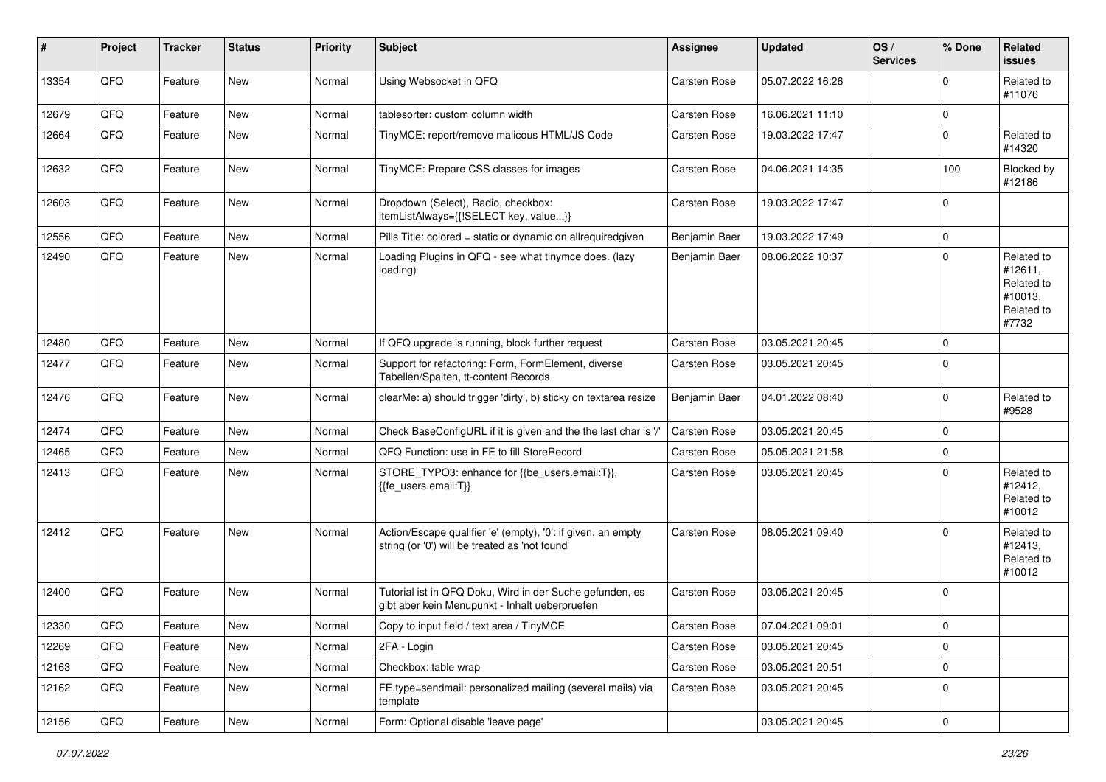| #     | Project | <b>Tracker</b> | <b>Status</b> | <b>Priority</b> | <b>Subject</b>                                                                                                 | <b>Assignee</b>     | <b>Updated</b>   | OS/<br><b>Services</b> | % Done      | Related<br>issues                                                     |
|-------|---------|----------------|---------------|-----------------|----------------------------------------------------------------------------------------------------------------|---------------------|------------------|------------------------|-------------|-----------------------------------------------------------------------|
| 13354 | QFQ     | Feature        | <b>New</b>    | Normal          | Using Websocket in QFQ                                                                                         | <b>Carsten Rose</b> | 05.07.2022 16:26 |                        | $\Omega$    | Related to<br>#11076                                                  |
| 12679 | QFQ     | Feature        | New           | Normal          | tablesorter: custom column width                                                                               | Carsten Rose        | 16.06.2021 11:10 |                        | $\mathbf 0$ |                                                                       |
| 12664 | QFQ     | Feature        | New           | Normal          | TinyMCE: report/remove malicous HTML/JS Code                                                                   | <b>Carsten Rose</b> | 19.03.2022 17:47 |                        | $\mathbf 0$ | Related to<br>#14320                                                  |
| 12632 | QFQ     | Feature        | New           | Normal          | TinyMCE: Prepare CSS classes for images                                                                        | <b>Carsten Rose</b> | 04.06.2021 14:35 |                        | 100         | Blocked by<br>#12186                                                  |
| 12603 | QFQ     | Feature        | New           | Normal          | Dropdown (Select), Radio, checkbox:<br>itemListAlways={{!SELECT key, value}}                                   | Carsten Rose        | 19.03.2022 17:47 |                        | $\Omega$    |                                                                       |
| 12556 | QFQ     | Feature        | New           | Normal          | Pills Title: colored = static or dynamic on allrequiredgiven                                                   | Benjamin Baer       | 19.03.2022 17:49 |                        | $\mathbf 0$ |                                                                       |
| 12490 | QFQ     | Feature        | New           | Normal          | Loading Plugins in QFQ - see what tinymce does. (lazy<br>loading)                                              | Benjamin Baer       | 08.06.2022 10:37 |                        | $\mathbf 0$ | Related to<br>#12611,<br>Related to<br>#10013,<br>Related to<br>#7732 |
| 12480 | QFQ     | Feature        | New           | Normal          | If QFQ upgrade is running, block further request                                                               | <b>Carsten Rose</b> | 03.05.2021 20:45 |                        | $\mathbf 0$ |                                                                       |
| 12477 | QFQ     | Feature        | <b>New</b>    | Normal          | Support for refactoring: Form, FormElement, diverse<br>Tabellen/Spalten, tt-content Records                    | <b>Carsten Rose</b> | 03.05.2021 20:45 |                        | $\mathbf 0$ |                                                                       |
| 12476 | QFQ     | Feature        | <b>New</b>    | Normal          | clearMe: a) should trigger 'dirty', b) sticky on textarea resize                                               | Benjamin Baer       | 04.01.2022 08:40 |                        | $\mathbf 0$ | Related to<br>#9528                                                   |
| 12474 | QFQ     | Feature        | New           | Normal          | Check BaseConfigURL if it is given and the the last char is '/'                                                | <b>Carsten Rose</b> | 03.05.2021 20:45 |                        | $\Omega$    |                                                                       |
| 12465 | QFQ     | Feature        | New           | Normal          | QFQ Function: use in FE to fill StoreRecord                                                                    | <b>Carsten Rose</b> | 05.05.2021 21:58 |                        | $\mathbf 0$ |                                                                       |
| 12413 | QFQ     | Feature        | New           | Normal          | STORE_TYPO3: enhance for {{be_users.email:T}},<br>{{fe users.email:T}}                                         | <b>Carsten Rose</b> | 03.05.2021 20:45 |                        | $\Omega$    | Related to<br>#12412,<br>Related to<br>#10012                         |
| 12412 | QFQ     | Feature        | New           | Normal          | Action/Escape qualifier 'e' (empty), '0': if given, an empty<br>string (or '0') will be treated as 'not found' | <b>Carsten Rose</b> | 08.05.2021 09:40 |                        | $\Omega$    | Related to<br>#12413,<br>Related to<br>#10012                         |
| 12400 | QFQ     | Feature        | <b>New</b>    | Normal          | Tutorial ist in QFQ Doku, Wird in der Suche gefunden, es<br>gibt aber kein Menupunkt - Inhalt ueberpruefen     | <b>Carsten Rose</b> | 03.05.2021 20:45 |                        | $\Omega$    |                                                                       |
| 12330 | QFQ     | Feature        | New           | Normal          | Copy to input field / text area / TinyMCE                                                                      | <b>Carsten Rose</b> | 07.04.2021 09:01 |                        | $\pmb{0}$   |                                                                       |
| 12269 | QFQ     | Feature        | New           | Normal          | 2FA - Login                                                                                                    | <b>Carsten Rose</b> | 03.05.2021 20:45 |                        | $\mathbf 0$ |                                                                       |
| 12163 | QFQ     | Feature        | New           | Normal          | Checkbox: table wrap                                                                                           | Carsten Rose        | 03.05.2021 20:51 |                        | $\mathbf 0$ |                                                                       |
| 12162 | QFQ     | Feature        | New           | Normal          | FE.type=sendmail: personalized mailing (several mails) via<br>template                                         | <b>Carsten Rose</b> | 03.05.2021 20:45 |                        | $\mathbf 0$ |                                                                       |
| 12156 | QFQ     | Feature        | New           | Normal          | Form: Optional disable 'leave page'                                                                            |                     | 03.05.2021 20:45 |                        | $\mathsf 0$ |                                                                       |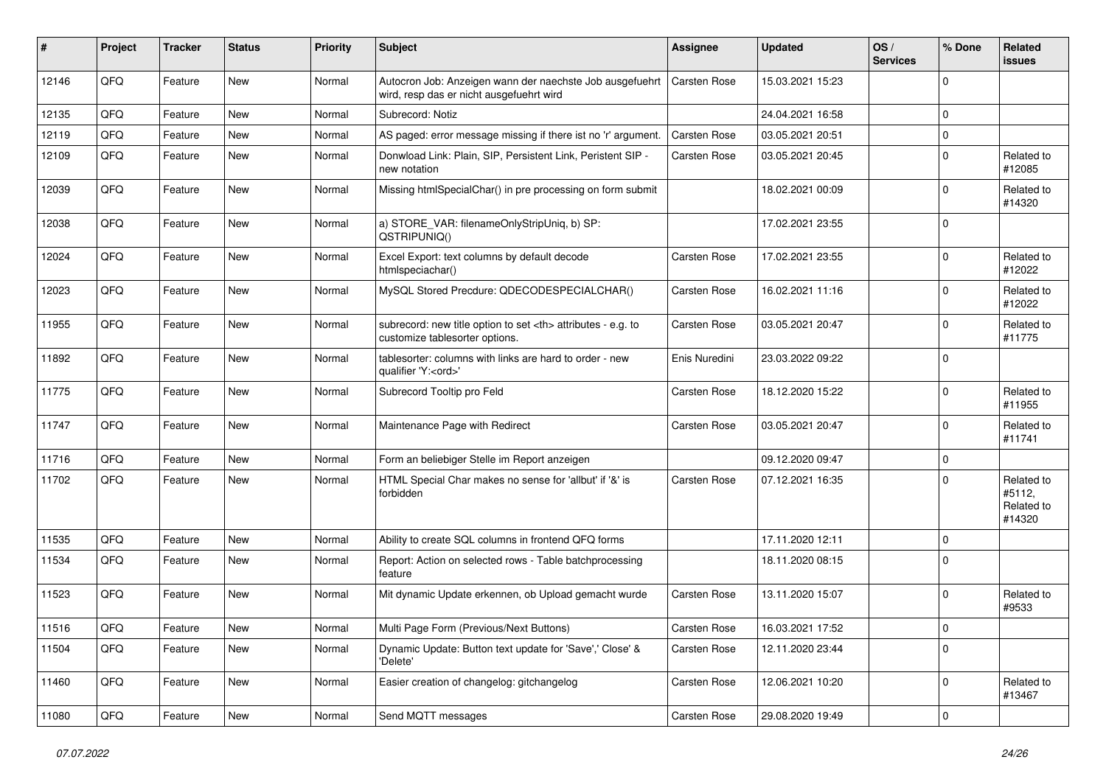| #     | Project | <b>Tracker</b> | <b>Status</b> | <b>Priority</b> | <b>Subject</b>                                                                                       | <b>Assignee</b>                                        | <b>Updated</b>      | OS/<br><b>Services</b> | % Done       | Related<br>issues                            |                      |
|-------|---------|----------------|---------------|-----------------|------------------------------------------------------------------------------------------------------|--------------------------------------------------------|---------------------|------------------------|--------------|----------------------------------------------|----------------------|
| 12146 | QFQ     | Feature        | New           | Normal          | Autocron Job: Anzeigen wann der naechste Job ausgefuehrt<br>wird, resp das er nicht ausgefuehrt wird | <b>Carsten Rose</b>                                    | 15.03.2021 15:23    |                        | $\Omega$     |                                              |                      |
| 12135 | QFQ     | Feature        | New           | Normal          | Subrecord: Notiz                                                                                     |                                                        | 24.04.2021 16:58    |                        | $\mathbf 0$  |                                              |                      |
| 12119 | QFQ     | Feature        | <b>New</b>    | Normal          | AS paged: error message missing if there ist no 'r' argument.                                        | <b>Carsten Rose</b>                                    | 03.05.2021 20:51    |                        | $\mathbf 0$  |                                              |                      |
| 12109 | QFQ     | Feature        | New           | Normal          | Donwload Link: Plain, SIP, Persistent Link, Peristent SIP -<br>new notation                          | Carsten Rose                                           | 03.05.2021 20:45    |                        | $\mathbf 0$  | Related to<br>#12085                         |                      |
| 12039 | QFQ     | Feature        | New           | Normal          | Missing htmlSpecialChar() in pre processing on form submit                                           |                                                        | 18.02.2021 00:09    |                        | $\mathbf 0$  | Related to<br>#14320                         |                      |
| 12038 | QFQ     | Feature        | New           | Normal          | a) STORE_VAR: filenameOnlyStripUniq, b) SP:<br>QSTRIPUNIQ()                                          |                                                        | 17.02.2021 23:55    |                        | $\mathbf 0$  |                                              |                      |
| 12024 | QFQ     | Feature        | <b>New</b>    | Normal          | Excel Export: text columns by default decode<br>htmlspeciachar()                                     | <b>Carsten Rose</b>                                    | 17.02.2021 23:55    |                        | $\Omega$     | Related to<br>#12022                         |                      |
| 12023 | QFQ     | Feature        | <b>New</b>    | Normal          | MySQL Stored Precdure: QDECODESPECIALCHAR()                                                          | <b>Carsten Rose</b>                                    | 16.02.2021 11:16    |                        | $\mathbf 0$  | Related to<br>#12022                         |                      |
| 11955 | QFQ     | Feature        | <b>New</b>    | Normal          | subrecord: new title option to set <th> attributes - e.g. to<br/>customize tablesorter options.</th> | attributes - e.g. to<br>customize tablesorter options. | <b>Carsten Rose</b> | 03.05.2021 20:47       |              | $\mathbf 0$                                  | Related to<br>#11775 |
| 11892 | QFQ     | Feature        | New           | Normal          | tablesorter: columns with links are hard to order - new<br>qualifier 'Y: <ord>'</ord>                | Enis Nuredini                                          | 23.03.2022 09:22    |                        | $\Omega$     |                                              |                      |
| 11775 | QFQ     | Feature        | New           | Normal          | Subrecord Tooltip pro Feld                                                                           | Carsten Rose                                           | 18.12.2020 15:22    |                        | $\Omega$     | Related to<br>#11955                         |                      |
| 11747 | QFQ     | Feature        | New           | Normal          | Maintenance Page with Redirect                                                                       | <b>Carsten Rose</b>                                    | 03.05.2021 20:47    |                        | $\mathbf 0$  | Related to<br>#11741                         |                      |
| 11716 | QFQ     | Feature        | New           | Normal          | Form an beliebiger Stelle im Report anzeigen                                                         |                                                        | 09.12.2020 09:47    |                        | $\mathbf 0$  |                                              |                      |
| 11702 | QFQ     | Feature        | New           | Normal          | HTML Special Char makes no sense for 'allbut' if '&' is<br>forbidden                                 | <b>Carsten Rose</b>                                    | 07.12.2021 16:35    |                        | $\Omega$     | Related to<br>#5112,<br>Related to<br>#14320 |                      |
| 11535 | QFQ     | Feature        | New           | Normal          | Ability to create SQL columns in frontend QFQ forms                                                  |                                                        | 17.11.2020 12:11    |                        | $\mathbf 0$  |                                              |                      |
| 11534 | QFQ     | Feature        | <b>New</b>    | Normal          | Report: Action on selected rows - Table batchprocessing<br>feature                                   |                                                        | 18.11.2020 08:15    |                        | $\Omega$     |                                              |                      |
| 11523 | QFQ     | Feature        | New           | Normal          | Mit dynamic Update erkennen, ob Upload gemacht wurde                                                 | Carsten Rose                                           | 13.11.2020 15:07    |                        | $\mathbf 0$  | Related to<br>#9533                          |                      |
| 11516 | QFG     | Feature        | New           | Normal          | Multi Page Form (Previous/Next Buttons)                                                              | Carsten Rose                                           | 16.03.2021 17:52    |                        | $\mathbf{0}$ |                                              |                      |
| 11504 | QFQ     | Feature        | New           | Normal          | Dynamic Update: Button text update for 'Save',' Close' &<br>'Delete'                                 | Carsten Rose                                           | 12.11.2020 23:44    |                        | $\mathbf 0$  |                                              |                      |
| 11460 | QFQ     | Feature        | New           | Normal          | Easier creation of changelog: gitchangelog                                                           | Carsten Rose                                           | 12.06.2021 10:20    |                        | $\mathbf 0$  | Related to<br>#13467                         |                      |
| 11080 | QFQ     | Feature        | New           | Normal          | Send MQTT messages                                                                                   | <b>Carsten Rose</b>                                    | 29.08.2020 19:49    |                        | $\mathbf 0$  |                                              |                      |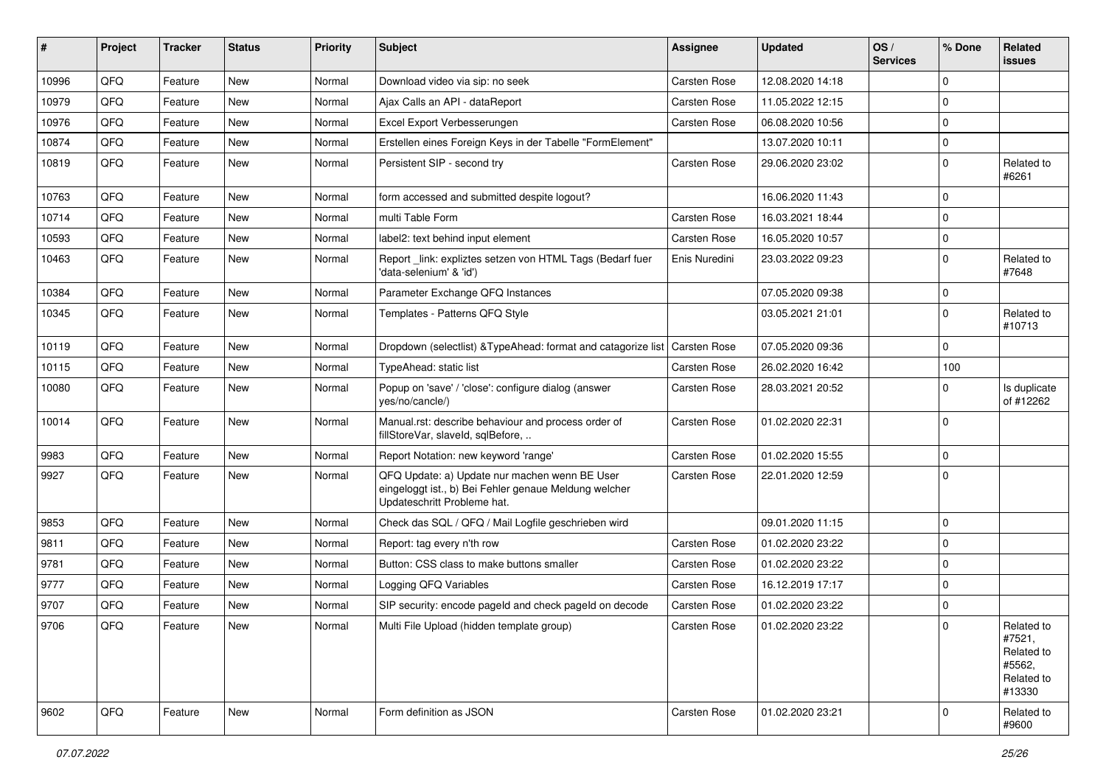| ∦     | Project | <b>Tracker</b> | <b>Status</b> | <b>Priority</b> | Subject                                                                                                                               | Assignee            | <b>Updated</b>   | OS/<br><b>Services</b> | % Done      | Related<br><b>issues</b>                                             |
|-------|---------|----------------|---------------|-----------------|---------------------------------------------------------------------------------------------------------------------------------------|---------------------|------------------|------------------------|-------------|----------------------------------------------------------------------|
| 10996 | QFQ     | Feature        | New           | Normal          | Download video via sip: no seek                                                                                                       | <b>Carsten Rose</b> | 12.08.2020 14:18 |                        | $\Omega$    |                                                                      |
| 10979 | QFQ     | Feature        | New           | Normal          | Ajax Calls an API - dataReport                                                                                                        | <b>Carsten Rose</b> | 11.05.2022 12:15 |                        | $\Omega$    |                                                                      |
| 10976 | QFQ     | Feature        | New           | Normal          | Excel Export Verbesserungen                                                                                                           | <b>Carsten Rose</b> | 06.08.2020 10:56 |                        | $\Omega$    |                                                                      |
| 10874 | QFQ     | Feature        | <b>New</b>    | Normal          | Erstellen eines Foreign Keys in der Tabelle "FormElement"                                                                             |                     | 13.07.2020 10:11 |                        | $\Omega$    |                                                                      |
| 10819 | QFQ     | Feature        | New           | Normal          | Persistent SIP - second try                                                                                                           | <b>Carsten Rose</b> | 29.06.2020 23:02 |                        | $\Omega$    | Related to<br>#6261                                                  |
| 10763 | QFQ     | Feature        | New           | Normal          | form accessed and submitted despite logout?                                                                                           |                     | 16.06.2020 11:43 |                        | $\Omega$    |                                                                      |
| 10714 | QFQ     | Feature        | New           | Normal          | multi Table Form                                                                                                                      | <b>Carsten Rose</b> | 16.03.2021 18:44 |                        | $\Omega$    |                                                                      |
| 10593 | QFQ     | Feature        | New           | Normal          | label2: text behind input element                                                                                                     | <b>Carsten Rose</b> | 16.05.2020 10:57 |                        | $\Omega$    |                                                                      |
| 10463 | QFQ     | Feature        | New           | Normal          | Report _link: expliztes setzen von HTML Tags (Bedarf fuer<br>'data-selenium' & 'id')                                                  | Enis Nuredini       | 23.03.2022 09:23 |                        | $\Omega$    | Related to<br>#7648                                                  |
| 10384 | QFQ     | Feature        | <b>New</b>    | Normal          | Parameter Exchange QFQ Instances                                                                                                      |                     | 07.05.2020 09:38 |                        | $\Omega$    |                                                                      |
| 10345 | QFQ     | Feature        | New           | Normal          | Templates - Patterns QFQ Style                                                                                                        |                     | 03.05.2021 21:01 |                        | $\Omega$    | Related to<br>#10713                                                 |
| 10119 | QFQ     | Feature        | New           | Normal          | Dropdown (selectlist) & Type Ahead: format and catagorize list                                                                        | <b>Carsten Rose</b> | 07.05.2020 09:36 |                        | $\Omega$    |                                                                      |
| 10115 | QFQ     | Feature        | New           | Normal          | TypeAhead: static list                                                                                                                | <b>Carsten Rose</b> | 26.02.2020 16:42 |                        | 100         |                                                                      |
| 10080 | QFQ     | Feature        | New           | Normal          | Popup on 'save' / 'close': configure dialog (answer<br>yes/no/cancle/)                                                                | <b>Carsten Rose</b> | 28.03.2021 20:52 |                        | $\Omega$    | Is duplicate<br>of #12262                                            |
| 10014 | QFQ     | Feature        | New           | Normal          | Manual.rst: describe behaviour and process order of<br>fillStoreVar, slaveId, sqlBefore,                                              | <b>Carsten Rose</b> | 01.02.2020 22:31 |                        | $\Omega$    |                                                                      |
| 9983  | QFQ     | Feature        | New           | Normal          | Report Notation: new keyword 'range'                                                                                                  | <b>Carsten Rose</b> | 01.02.2020 15:55 |                        | $\Omega$    |                                                                      |
| 9927  | QFQ     | Feature        | New           | Normal          | QFQ Update: a) Update nur machen wenn BE User<br>eingeloggt ist., b) Bei Fehler genaue Meldung welcher<br>Updateschritt Probleme hat. | <b>Carsten Rose</b> | 22.01.2020 12:59 |                        | l 0         |                                                                      |
| 9853  | QFQ     | Feature        | New           | Normal          | Check das SQL / QFQ / Mail Logfile geschrieben wird                                                                                   |                     | 09.01.2020 11:15 |                        | $\Omega$    |                                                                      |
| 9811  | QFQ     | Feature        | New           | Normal          | Report: tag every n'th row                                                                                                            | <b>Carsten Rose</b> | 01.02.2020 23:22 |                        | $\mathbf 0$ |                                                                      |
| 9781  | QFQ     | Feature        | New           | Normal          | Button: CSS class to make buttons smaller                                                                                             | <b>Carsten Rose</b> | 01.02.2020 23:22 |                        | $\Omega$    |                                                                      |
| 9777  | QFQ     | Feature        | New           | Normal          | Logging QFQ Variables                                                                                                                 | Carsten Rose        | 16.12.2019 17:17 |                        | $\Omega$    |                                                                      |
| 9707  | QFQ     | Feature        | New           | Normal          | SIP security: encode pageld and check pageld on decode                                                                                | <b>Carsten Rose</b> | 01.02.2020 23:22 |                        | $\mathbf 0$ |                                                                      |
| 9706  | QFQ     | Feature        | New           | Normal          | Multi File Upload (hidden template group)                                                                                             | Carsten Rose        | 01.02.2020 23:22 |                        |             | Related to<br>#7521,<br>Related to<br>#5562,<br>Related to<br>#13330 |
| 9602  | QFQ     | Feature        | New           | Normal          | Form definition as JSON                                                                                                               | Carsten Rose        | 01.02.2020 23:21 |                        | 0           | Related to<br>#9600                                                  |